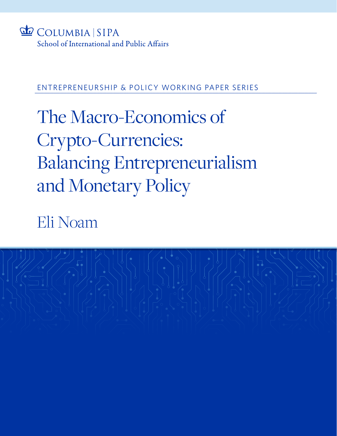

## ENTREPRENEURSHIP & POLICY WORKING PAPER SERIES

# The Macro-Economics of Crypto-Currencies: Balancing Entrepreneurialism and Monetary Policy

Eli Noam

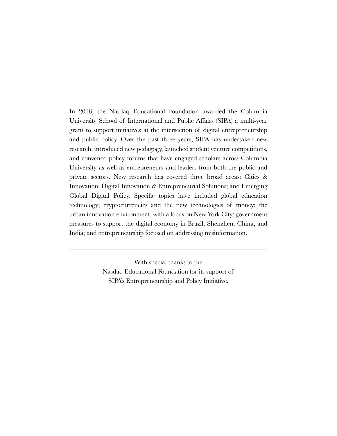In 2016, the Nasdaq Educational Foundation awarded the Columbia University School of International and Public Affairs (SIPA) a multi-year grant to support initiatives at the intersection of digital entrepreneurship and public policy. Over the past three years, SIPA has undertaken new research, introduced new pedagogy, launched student venture competitions, and convened policy forums that have engaged scholars across Columbia University as well as entrepreneurs and leaders from both the public and private sectors. New research has covered three broad areas: Cities & Innovation; Digital Innovation & Entrepreneurial Solutions; and Emerging Global Digital Policy. Specific topics have included global education technology; cryptocurrencies and the new technologies of money; the urban innovation environment, with a focus on New York City; government measures to support the digital economy in Brazil, Shenzhen, China, and India; and entrepreneurship focused on addressing misinformation.

> With special thanks to the Nasdaq Educational Foundation for its support of SIPA's Entrepreneurship and Policy Initiative.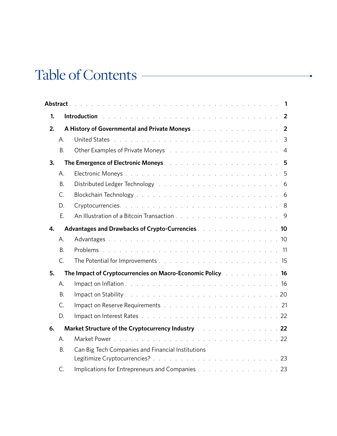# Table of Contents

| 1. | Introduction with a series of the contract of the contract of the contract of the contract of the contract of |                                                                                                                                                                                                                                      |  |
|----|---------------------------------------------------------------------------------------------------------------|--------------------------------------------------------------------------------------------------------------------------------------------------------------------------------------------------------------------------------------|--|
| 2. |                                                                                                               | A History of Governmental and Private Moneys And Album Andrew Album 2                                                                                                                                                                |  |
|    | А.                                                                                                            | 3<br>United States but the community of the community of the community of the community of the community of the community of the community of the community of the community of the community of the community of the community of   |  |
|    | <b>B.</b>                                                                                                     | Other Examples of Private Moneys research and a series and a series of the U.S. of the U.S. of the U.S. of the<br>$\overline{4}$                                                                                                     |  |
| 3. |                                                                                                               | The Emergence of Electronic Moneys <b>Executive Contract Contract Contract Contract Contract Contract Contract Contract Contract Contract Contract Contract Contract Contract Contract Contract Contract Contract Contract Contr</b> |  |
|    | А.                                                                                                            | 5                                                                                                                                                                                                                                    |  |
|    | <b>B.</b>                                                                                                     |                                                                                                                                                                                                                                      |  |
|    | $C_{1}$                                                                                                       |                                                                                                                                                                                                                                      |  |
|    | D.                                                                                                            |                                                                                                                                                                                                                                      |  |
|    | E.                                                                                                            |                                                                                                                                                                                                                                      |  |
| 4. |                                                                                                               | Advantages and Drawbacks of Crypto-Currencies <b>Communities</b> 2008 and 2008                                                                                                                                                       |  |
|    | A.                                                                                                            |                                                                                                                                                                                                                                      |  |
|    | <b>B.</b>                                                                                                     |                                                                                                                                                                                                                                      |  |
|    | $C_{1}$                                                                                                       |                                                                                                                                                                                                                                      |  |
| 5. |                                                                                                               | The Impact of Cryptocurrencies on Macro-Economic Policy [11] Allen and Allen 16                                                                                                                                                      |  |
|    | А.                                                                                                            |                                                                                                                                                                                                                                      |  |
|    | <b>B.</b>                                                                                                     |                                                                                                                                                                                                                                      |  |
|    | C.                                                                                                            | Impact on Reserve Requirements and a contract of the contract of the Reserve Requirements and a contract of the contract of $21$                                                                                                     |  |
|    | D.                                                                                                            |                                                                                                                                                                                                                                      |  |
| 6. |                                                                                                               | Market Structure of the Cryptocurrency Industry Alberta Alberta Alberta 22                                                                                                                                                           |  |
|    | А.                                                                                                            |                                                                                                                                                                                                                                      |  |
|    | <b>B.</b>                                                                                                     | Can Big Tech Companies and Financial Institutions                                                                                                                                                                                    |  |
|    |                                                                                                               |                                                                                                                                                                                                                                      |  |
|    | C.                                                                                                            | Implications for Entrepreneurs and Companies 23                                                                                                                                                                                      |  |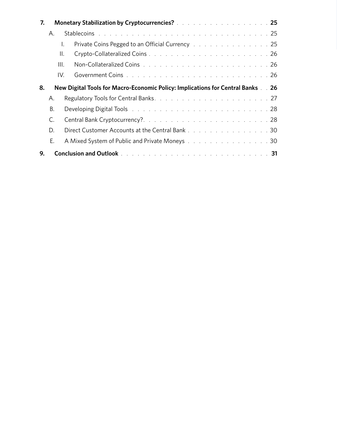| 7. |                | Monetary Stabilization by Cryptocurrencies? All Alberta Alberta Alberta 25                                                                                                                                                     |  |
|----|----------------|--------------------------------------------------------------------------------------------------------------------------------------------------------------------------------------------------------------------------------|--|
|    | А.             | Stablecoins with a contract to the contract of the contract of the contract of the contract of the contract of                                                                                                                 |  |
|    |                | Private Coins Pegged to an Official Currency Alberta Alberta Alberta 25                                                                                                                                                        |  |
|    |                | II.                                                                                                                                                                                                                            |  |
|    | III.           |                                                                                                                                                                                                                                |  |
|    | IV.            |                                                                                                                                                                                                                                |  |
| 8. |                | New Digital Tools for Macro-Economic Policy: Implications for Central Banks 26                                                                                                                                                 |  |
|    | А.             |                                                                                                                                                                                                                                |  |
|    | В.             | Developing Digital Tools and a subset of the subset of the subset of the subset of the subset of the Development of the Development of the Development of the Development of the Development of the Development of the Develop |  |
|    | $\mathsf{C}$ . | Central Bank Cryptocurrency?28                                                                                                                                                                                                 |  |
|    | D.             | Direct Customer Accounts at the Central Bank 30                                                                                                                                                                                |  |
|    | F.             | A Mixed System of Public and Private Moneys 30                                                                                                                                                                                 |  |
| 9. |                |                                                                                                                                                                                                                                |  |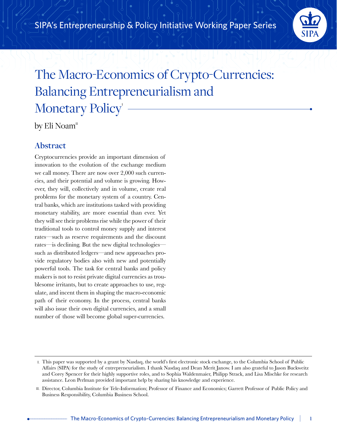

## The Macro-Economics of Crypto-Currencies: Balancing Entrepreneurialism and Monetary Policy<sup>'</sup>

by Eli Noam"

## **Abstract**

Cryptocurrencies provide an important dimension of innovation to the evolution of the exchange medium we call money. There are now over 2,000 such currencies, and their potential and volume is growing. However, they will, collectively and in volume, create real problems for the monetary system of a country. Central banks, which are institutions tasked with providing monetary stability, are more essential than ever. Yet they will see their problems rise while the power of their traditional tools to control money supply and interest rates—such as reserve requirements and the discount rates—is declining. But the new digital technologies such as distributed ledgers—and new approaches provide regulatory bodies also with new and potentially powerful tools. The task for central banks and policy makers is not to resist private digital currencies as troublesome irritants, but to create approaches to use, regulate, and incent them in shaping the macro-economic path of their economy. In the process, central banks will also issue their own digital currencies, and a small number of those will become global super-currencies.

I. This paper was supported by a grant by Nasdaq, the world's first electronic stock exchange, to the Columbia School of Public Affairs (SIPA) for the study of entrepreneurialism. I thank Nasdaq and Dean Merit Janow. I am also grateful to Jason Buckweitz and Corey Spencer for their highly supportive roles, and to Sophia Waldenmaier, Philipp Strack, and Lisa Mischke for research assistance. Leon Perlman provided important help by sharing his knowledge and experience.

II. Director, Columbia Institute for Tele-Information; Professor of Finance and Economics; Garrett Professor of Public Policy and Business Responsibility, Columbia Business School.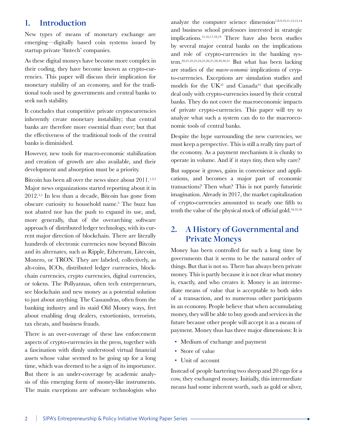## **1. Introduction**

New types of means of monetary exchange are emerging—digitally based coin systems issued by startup private 'fintech' companies.

As these digital moneys have become more complex in their coding, they have become known as crypto-currencies. This paper will discuss their implication for monetary stability of an economy, and for the traditional tools used by governments and central banks to seek such stability.

It concludes that competitive private cryptocurrencies inherently create monetary instability; that central banks are therefore more essential than ever; but that the effectiveness of the traditional tools of the central banks is diminished.

However, new tools for macro-economic stabilization and creation of growth are also available, and their development and absorption must be a priority.

Bitcoin has been all over the news since about  $2011$ .<sup>1,2,3</sup> Major news organizations started reporting about it in 2012.4,5 In less than a decade, Bitcoin has gone from obscure curiosity to household name.6 The buzz has not abated nor has the push to expand its use, and, more generally, that of the overarching software approach of distributed ledger technology, with its current major direction of blockchain. There are literally hundreds of electronic currencies now beyond Bitcoin and its alternates, such as Ripple, Ethereum, Litecoin, Monero, or TRON. They are labeled, collectively, as alt-coins, ICOs, distributed ledger currencies, blockchain currencies, crypto currencies, digital currencies, or tokens. The Pollyannas, often tech entrepreneurs, see blockchain and new money as a potential solution to just about anything. The Cassandras, often from the banking industry and its staid Old Money ways, fret about enabling drug dealers, extortionists, terrorists, tax cheats, and business frauds.

There is an over-coverage of these law enforcement aspects of crypto-currencies in the press, together with a fascination with dimly understood virtual financial assets whose value seemed to be going up for a long time, which was deemed to be a sign of its importance. But there is an under-coverage by academic analysis of this emerging form of money-like instruments. The main exceptions are software technologists who

analyze the computer science dimension<sup>7,8,9,10,11,12,13,14</sup> and business school professors interested in strategic implications.15,16,17,18,19 There have also been studies by several major central banks on the implications and role of crypto-currencies in the banking system.20,21,22,23,24,25,26,27,28,29,30,31 But what has been lacking are studies of the *macro-economic* implications of crypto-currencies. Exceptions are simulation studies and models for the  $UK^{32}$  and Canada<sup>33</sup> that specifically deal only with crypto-currencies issued by their central banks. They do not cover the macroeconomic impacts of private crypto-currencies. This paper will try to analyze what such a system can do to the macroeconomic tools of central banks.

Despite the hype surrounding the new currencies, we must keep a perspective. This is still a really tiny part of the economy. As a payment mechanism it is clunky to operate in volume. And if it stays tiny, then why care?

But suppose it grows, gains in convenience and applications, and becomes a major part of economic transactions? Then what? This is not purely futuristic imagination. Already in 2017, the market capitalization of crypto-currencies amounted to nearly one fifth to tenth the value of the physical stock of official gold.34,35,36

## **2. A History of Governmental and Private Moneys**

Money has been controlled for such a long time by governments that it seems to be the natural order of things. But that is not so. There has always been private money. This is partly because it is not clear what money is, exactly, and who creates it. Money is an intermediate means of value that is acceptable to both sides of a transaction, and to numerous other participants in an economy. People believe that when accumulating money, they will be able to buy goods and services in the future because other people will accept it as a means of payment. Money thus has three major dimensions: It is

- Medium of exchange and payment
- Store of value
- Unit of account

Instead of people bartering two sheep and 20 eggs for a cow, they exchanged money. Initially, this intermediate means had some inherent worth, such as gold or silver,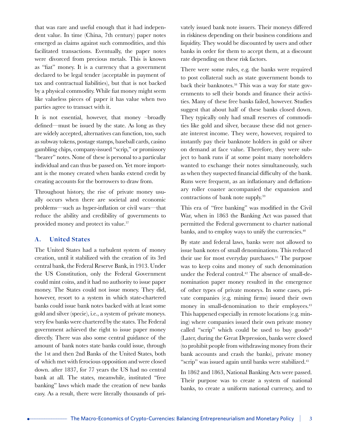that was rare and useful enough that it had independent value. In time (China, 7th century) paper notes emerged as claims against such commodities, and this facilitated transactions. Eventually, the paper notes were divorced from precious metals. This is known as "fiat" money. It is a currency that a government declared to be legal tender (acceptable in payment of tax and contractual liabilities), but that is not backed by a physical commodity. While fiat money might seem like valueless pieces of paper it has value when two parties agree to transact with it.

It is not essential, however, that money –broadly defined—must be issued by the state. As long as they are widely accepted, alternatives can function, too, such as subway tokens, postage stamps, baseball cards, casino gambling chips, company-issued "scrip," or promissory "bearer" notes. None of these is personal to a particular individual and can thus be passed on. Yet more important is the money created when banks extend credit by creating accounts for the borrowers to draw from.

Throughout history, the rise of private money usually occurs when there are societal and economic problems—such as hyper-inflation or civil wars—that reduce the ability and credibility of governments to provided money and protect its value.<sup>37</sup>

#### **A. United States**

The United States had a turbulent system of money creation, until it stabilized with the creation of its 3rd central bank, the Federal Reserve Bank, in 1913. Under the US Constitution, only the Federal Government could mint coins, and it had no authority to issue paper money. The States could not issue money. They did, however, resort to a system in which state-chartered banks could issue bank notes backed with at least some gold and silver (specie), i.e., a system of private moneys. very few banks were chartered by the states. The Federal government achieved the right to issue paper money directly. There was also some central guidance of the amount of bank notes state banks could issue, through the 1st and then 2nd Banks of the United States, both of which met with ferocious opposition and were closed down. after 1837, for 77 years the US had no central bank at all. The states, meanwhile, instituted "free banking" laws which made the creation of new banks easy. As a result, there were literally thousands of privately issued bank note issuers. Their moneys differed in riskiness depending on their business conditions and liquidity. They would be discounted by users and other banks in order for them to accept them, at a discount rate depending on these risk factors.

There were some rules, e.g. the banks were required to post collateral such as state government bonds to back their banknotes.38 This was a way for state governments to sell their bonds and finance their activities. Many of these free banks failed, however. Studies suggest that about half of these banks closed down. They typically only had small reserves of commodities like gold and silver, because these did not generate interest income. They were, however, required to instantly pay their banknote holders in gold or silver on demand at face value. Therefore, they were subject to bank runs if at some point many noteholders wanted to exchange their notes simultaneously, such as when they suspected financial difficulty of the bank. Runs were frequent, as an inflationary and deflationary roller coaster accompanied the expansion and contractions of bank note supply.39

This era of "free banking" was modified in the Civil War, when in 1863 the Banking Act was passed that permitted the Federal government to charter national banks, and to employ ways to unify the currencies.<sup>40</sup>

By state and federal laws, banks were not allowed to issue bank notes of small denominations. This reduced their use for most everyday purchases.<sup>41</sup> The purpose was to keep coins and money of such denomination under the Federal control.<sup>42</sup> The absence of small-denomination paper money resulted in the emergence of other types of private moneys. In some cases, private companies (e.g. mining firms) issued their own money in small-denomination to their employees.<sup>43</sup> This happened especially in remote locations (e.g. mining) where companies issued their own private money called "scrip" which could be used to buy  $\gamma$  goods<sup>44</sup> (Later, during the Great Depression, banks were closed (to prohibit people from withdrawing money from their bank accounts and crash the banks), private money "scrip" was issued again until banks were stabilized.<sup>45</sup>

In 1862 and 1863, National Banking Acts were passed. Their purpose was to create a system of national banks, to create a uniform national currency, and to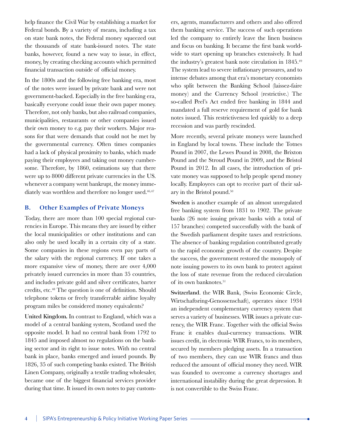help finance the Civil War by establishing a market for Federal bonds. By a variety of means, including a tax on state bank notes, the Federal money squeezed out the thousands of state bank-issued notes. The state banks, however, found a new way to issue, in effect, money, by creating checking accounts which permitted financial transaction outside of official money.

In the 1800s and the following free banking era, most of the notes were issued by private bank and were not government-backed. Especially in the free banking era, basically everyone could issue their own paper money. Therefore, not only banks, but also railroad companies, municipalities, restaurants or other companies issued their own money to e.g. pay their workers. Major reasons for that were demands that could not be met by the governmental currency. Often times companies had a lack of physical proximity to banks, which made paying their employees and taking out money cumbersome. Therefore, by 1860, estimations say that there were up to 8000 different private currencies in the US. whenever a company went bankrupt, the money immediately was worthless and therefore no longer used.<sup>46,47</sup>

#### **B. Other Examples of Private Moneys**

Today, there are more than 100 special regional currencies in Europe. This means they are issued by either the local municipalities or other institutions and can also only be used locally in a certain city of a state. Some companies in these regions even pay parts of the salary with the regional currency. If one takes a more expansive view of money, there are over 4,000 privately issued currencies in more than 35 countries, and includes private gold and silver certificates, barter credits, etc.48 The question is one of definition. Should telephone tokens or freely transferrable airline loyalty program miles be considered money equivalents?

United Kingdom. In contrast to England, which was a model of a central banking system, Scotland used the opposite model. It had no central bank from 1792 to 1845 and imposed almost no regulations on the banking sector and its right to issue notes. With no central bank in place, banks emerged and issued pounds. By 1826, 35 of such competing banks existed. The British Linen Company, originally a textile trading wholesaler, became one of the biggest financial services provider during that time. It issued its own notes to pay customers, agents, manufacturers and others and also offered them banking service. The success of such operations led the company to entirely leave the linen business and focus on banking. It became the first bank worldwide to start opening up branches extensively. It had the industry's greatest bank note circulation in 1845.49 The system lead to severe inflationary pressures, and to intense debates among that era's monetary economists who split between the Banking School (laissez-faire money) and the Currency School (restrictive.) The so-called Peel's Act ended free banking in 1844 and mandated a full reserve requirement of gold for bank notes issued. This restrictiveness led quickly to a deep recession and was partly rescinded.

More recently, several private moneys were launched in England by local towns. These include the Totnes Pound in 2007, the Lewes Pound in 2008, the Brixton Pound and the Stroud Pound in 2009, and the Bristol Pound in 2012. In all cases, the introduction of private money was supposed to help people spend money locally. Employees can opt to receive part of their salary in the Bristol pound.50

Sweden is another example of an almost unregulated free banking system from 1831 to 1902. The private banks (26 note issuing private banks with a total of 157 branches) competed successfully with the bank of the Swedish parliament despite taxes and restrictions. The absence of banking regulation contributed greatly to the rapid economic growth of the country. Despite the success, the government restored the monopoly of note issuing powers to its own bank to protect against the loss of state revenue from the reduced circulation of its own banknotes.<sup>51</sup>

Switzerland. the WIR Bank, (Swiss Economic Circle, Wirtschaftsring-Genossenschaft), operates since 1934 an independent complementary currency system that serves a variety of businesses. WIR issues a private currency, the WIR Franc. Together with the official Swiss Franc it enables dual-currency transactions. WIR issues credit, in electronic WIR Francs, to its members, secured by members pledging assets. In a transaction of two members, they can use WIR francs and thus reduced the amount of official money they need. WIR was founded to overcome a currency shortages and international instability during the great depression. It is not convertible to the Swiss Franc.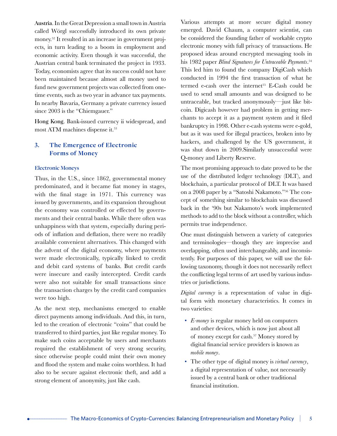Austria. In the Great Depression a small town in Austria called Wörgl successfully introduced its own private money.52 It resulted in an increase in government projects, in turn leading to a boom in employment and economic activity. Even though it was successful, the Austrian central bank terminated the project in 1933. Today, economists agree that its success could not have been maintained because almost all money used to fund new government projects was collected from onetime events, such as two year in advance tax payments. In nearby Bavaria, Germany a private currency issued since 2003 is the "Chiemgauer."

Hong Kong. Bank-issued currency ii widespread, and most ATM machines dispense it.<sup>53</sup>

#### **3. The Emergence of Electronic Forms of Money**

#### **Electronic Moneys**

Thus, in the U.S., since 1862, governmental money predominated, and it became fiat money in stages, with the final stage in 1971. This currency was issued by governments, and its expansion throughout the economy was controlled or effected by governments and their central banks. While there often was unhappiness with that system, especially during periods of inflation and deflation, there were no readily available convenient alternatives. This changed with the advent of the digital economy, where payments were made electronically, typically linked to credit and debit card systems of banks. But credit cards were insecure and easily intercepted. Credit cards were also not suitable for small transactions since the transaction charges by the credit card companies were too high.

As the next step, mechanisms emerged to enable direct payments among individuals. And this, in turn, led to the creation of electronic "coins" that could be transferred to third parties, just like regular money. To make such coins acceptable by users and merchants required the establishment of very strong security, since otherwise people could mint their own money and flood the system and make coins worthless. It had also to be secure against electronic theft, and add a strong element of anonymity, just like cash.

Various attempts at more secure digital money emerged. David Chaum, a computer scientist, can be considered the founding father of workable crypto electronic money with full privacy of transactions. He proposed ideas around encrypted messaging tools in his 1982 paper *Blind Signatures for Untraceable Payments*. 54 This led him to found the company DigiCash which conducted in 1994 the first transaction of what he termed e-cash over the internet<sup>55</sup> E-Cash could be used to send small amounts and was designed to be untraceable, but tracked anonymously—just like bitcoin. Digicash however had problem in getting merchants to accept it as a payment system and it filed bankruptcy in 1998. Other e-cash systems were e-gold, but as it was used for illegal practices, broken into by hackers, and challenged by the US government, it was shut down in 2009.Similarly unsuccessful were Q-money and Liberty Reserve.

The most promising approach to date proved to be the use of the distributed ledger technology (DLT), and blockchain, a particular protocol of DLT. It was based on a 2008 paper by a "Satoshi Nakamoto."56 The concept of something similar to blockchain was discussed back in the '90s but Nakamoto's work implemented methods to add to the block without a controller, which permits true independence.

One must distinguish between a variety of categories and terminologies—though they are imprecise and overlapping, often used interchangeably, and inconsistently. For purposes of this paper, we will use the following taxonomy, though it does not necessarily reflect the conflicting legal terms of art used by various industries or jurisdictions.

*Digital currency* is a representation of value in digital form with monetary characteristics. It comes in two varieties:

- *E-money* is regular money held on computers and other devices, which is now just about all of money except for cash.57 Money stored by digital financial service providers is known as *mobile money*.
- The other type of digital money is *virtual currency*, a digital representation of value, not necessarily issued by a central bank or other traditional financial institution.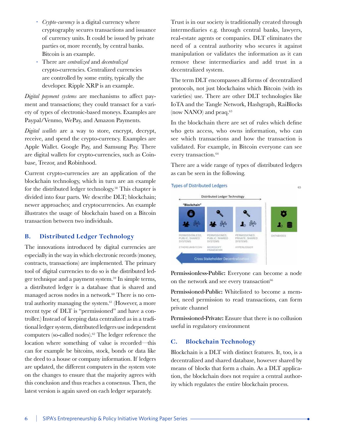- ∙ *Crypto-currency* is a digital currency where cryptography secures transactions and issuance of currency units. It could be issued by private parties or, more recently, by central banks. Bitcoin is an example.
- ∙ There are *centralized* and *decentralized*  crypto-currencies. Centralized currencies are controlled by some entity, typically the developer. Ripple XRP is an example.

*Digital payment systems* are mechanisms to affect payment and transactions; they could transact for a variety of types of electronic-based moneys. Examples are Paypal/Venmo, WePay, and Amazon Payments.

*Digital wallets* are a way to store, encrypt, decrypt, receive, and spend the crypto-currency. Examples are Apple Wallet. Google Pay, and Samsung Pay. There are digital wallets for crypto-currencies, such as Coinbase, Trezor, and Robinhood.

Current crypto-currencies are an application of the blockchain technology, which in turn are an example for the distributed ledger technology.<sup>58</sup> This chapter is divided into four parts. We describe DLT; blockchain; newer approaches; and cryptocurrencies. An example illustrates the usage of blockchain based on a Bitcoin transaction between two individuals.

#### **B. Distributed Ledger Technology**

The innovations introduced by digital currencies are especially in the way in which electronic records (money, contracts, transactions) are implemented. The primary tool of digital currencies to do so is the distributed ledger technique and a payment system.59 In simple terms, a distributed ledger is a database that is shared and managed across nodes in a network.<sup>60</sup> There is no central authority managing the system. $61$  (However, a more recent type of DLT is "permissioned" and have a controller.) Instead of keeping data centralized as in a traditional ledger system, distributed ledgers use independent computers (so-called nodes).<sup>62</sup> The ledger reference the location where something of value is recorded—this can for example be bitcoins, stock, bonds or data like the deed to a house or company information. If ledgers are updated, the different computers in the system vote on the changes to ensure that the majority agrees with this conclusion and thus reaches a consensus. Then, the latest version is again saved on each ledger separately.

Trust is in our society is traditionally created through intermediaries e.g. through central banks, lawyers, real-estate agents or companies. DLT eliminates the need of a central authority who secures it against manipulation or validates the information as it can remove these intermediaries and add trust in a decentralized system.

The term DLT encompasses all forms of decentralized protocols, not just blockchains which Bitcoin (with its varieties) use. There are other DLT technologies like IoTA and the Tangle Network, Hashgraph, RaiBlocks (now NANO) and peaq.<sup>63</sup>

In the blockchain there are set of rules which define who gets access, who owns information, who can see which transactions and how the transaction is validated. For example, in Bitcoin everyone can see every transaction.<sup>64</sup>

There are a wide range of types of distributed ledgers as can be seen in the following.



Permissionless-Public: Everyone can become a node on the network and see every transaction<sup>66</sup>

Permissioned-Public: Whitelisted to become a member, need permission to read transactions, can form private channel

Permissioned-Private: Ensure that there is no collusion useful in regulatory environment

#### **C. Blockchain Technology**

Blockchain is a DLT with distinct features. It, too, is a decentralized and shared database, however shared by means of blocks that form a chain. As a DLT application, the blockchain does not require a central authority which regulates the entire blockchain process.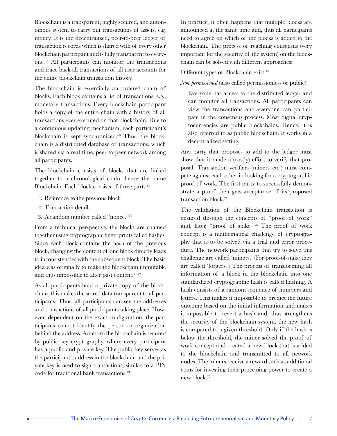Blockchain is a transparent, highly secured, and autonomous system to carry out transactions of assets, e.g. money. It is the decentralized, peer-to-peer ledger of transaction records which is shared with of every other blockchain participant and is fully transparent to everyone.67 All participants can monitor the transactions and trace back all transactions of all user accounts for the entire blockchain transaction history.

The blockchain is essentially an ordered chain of blocks. Each block contains a list of transactions, e.g., monetary transactions. Every blockchain participant holds a copy of the entire chain with a history of all transactions ever executed on that blockchain. Due to a continuous updating mechanism, each participant's blockchain is kept synchronized.68 Thus, the blockchain is a distributed database of transactions, which is shared via a real-time, peer-to-peer network among all participants.

The blockchain consists of blocks that are linked together to a chronological chain, hence the name Blockchain. Each block consists of three parts:<sup>69</sup>

- 1. Reference to the previous block
- 2. Transaction details
- 3. A random number called "nonce."<sup>70</sup>

From a technical perspective, the blocks are chained together using cryptographic fingerprints called hashes. Since each block contains the hash of the previous block, changing the content of one block directly leads to inconsistencies with the subsequent block. The basic idea was originally to make the blockchain immutable and thus impossible to alter past content.<sup>71,72</sup>

As all participants hold a private copy of the blockchain, this makes the stored data transparent to all participants. Thus, all participants can see the addresses and transactions of all participants taking place. However, dependent on the exact configuration, the participants cannot identify the person or organization behind the address. Access to the blockchain is secured by public key cryptography, where every participant has a public and private key. The public key serves as the participant's address in the blockchain and the private key is used to sign transactions, similar to a PIN code for traditional bank transactions.73

In practice, it often happens that multiple blocks are announced at the same time and, thus all participants need to agree on which of the blocks is added to the blockchain. The process of reaching consensus (very important for the security of the system) on the blockchain can be solved with different approaches:

Different types of Blockchain exist:<sup>74</sup>

*Non-permissioned* (also called permissionless or public):

Everyone has access to the distributed ledger and can monitor all transactions. All participants can view the transactions and everyone can participate in the consensus process. Most digital cryptocurrencies are public blockchains. Hence, it is also referred to as public blockchain. It works in a decentralized setting.

Any party that proposes to add to the ledger must show that it made a (costly) effort to verify that proposal. Transaction verifiers (miners etc.) must compete against each other in looking for a cryptographic proof of work. The first party to successfully demonstrate a proof then gets acceptance of its proposed transaction block.75

The validation of the Blockchain transaction is ensured through the concepts of "proof of work" and, later, "proof of stake."76 The proof of work concept is a mathematical challenge of cryptography that is to be solved via a trial and error procedure. The network participants that try to solve this challenge are called 'miners.' (For proof-of-stake they are called 'forgers.') The process of transforming all information of a block in the blockchain into one standardized cryptographic hash is called hashing. A hash consists of a random sequence of numbers and letters. This makes it impossible to predict the future outcome based on the initial information and makes it impossible to revert a hash and, thus strengthens the security of the blockchain system. the new hash is compared to a given threshold. Only if the hash is below the threshold, the miner solved the proof of work concept and created a new block that is added to the blockchain and transmitted to all network nodes. The miners receive a reward such as additional coins for investing their processing power to create a new block.77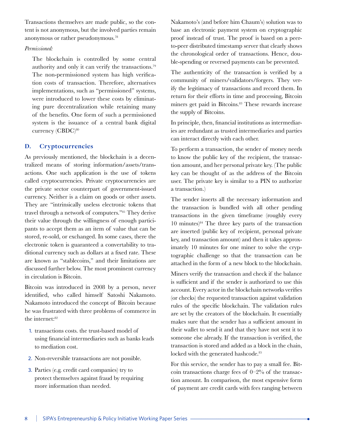Transactions themselves are made public, so the content is not anonymous, but the involved parties remain anonymous or rather pseudonymous.78

#### *Permissioned:*

The blockchain is controlled by some central authority and only it can verify the transactions.79 The non-permissioned system has high verification costs of transaction. Therefore, alternatives implementations, such as "permissioned" systems, were introduced to lower these costs by eliminating pure decentralization while retaining many of the benefits. One form of such a permissioned system is the issuance of a central bank digital currency (CBDC)<sup>80</sup>

#### **D. Cryptocurrencies**

As previously mentioned, the blockchain is a decentralized means of storing information/assets/transactions. One such application is the use of tokens called cryptocurrencies. Private cryptocurrencies are the private sector counterpart of government-issued currency. Neither is a claim on goods or other assets. They are "intrinsically useless electronic tokens that travel through a network of computers."81 They derive their value through the willingness of enough participants to accept them as an item of value that can be stored, re-sold, or exchanged. In some cases, there the electronic token is guaranteed a convertability to traditional currency such as dollars at a fixed rate. These are known as "stablecoins," and their limitations are discussed further below. The most prominent currency in circulation is Bitcoin.

Bitcoin was introduced in 2008 by a person, never identified, who called himself Satoshi Nakamoto. Nakamoto introduced the concept of Bitcoin because he was frustrated with three problems of commerce in the internet:<sup>82</sup>

- 1. transactions costs. the trust-based model of using financial intermediaries such as banks leads to mediation cost.
- 2. Non-reversible transactions are not possible.
- 3. Parties (e.g. credit card companies) try to protect themselves against fraud by requiring more information than needed.

Nakamoto's (and before him Chaum's) solution was to base an electronic payment system on cryptographic proof instead of trust. The proof is based on a peerto-peer distributed timestamp server that clearly shows the chronological order of transactions. Hence, double-spending or reversed payments can be prevented.

The authenticity of the transaction is verified by a community of miners/validators/forgers. They verify the legitimacy of transactions and record them. In return for their efforts in time and processing, Bitcoin miners get paid in Bitcoins.<sup>83</sup> These rewards increase the supply of Bitcoins.

In principle, then, financial institutions as intermediaries are redundant as trusted intermediaries and parties can interact directly with each other.

To perform a transaction, the sender of money needs to know the public key of the recipient, the transaction amount, and her personal private key. (The public key can be thought of as the address of the Bitcoin user. The private key is similar to a PIN to authorize a transaction.)

The sender inserts all the necessary information and the transaction is bundled with all other pending transactions in the given timeframe (roughly every 10 minutes) $84$  The three key parts of the transaction are inserted (public key of recipient, personal private key, and transaction amount) and then it takes approximately 10 minutes for one miner to solve the cryptographic challenge so that the transaction can be attached in the form of a new block to the blockchain.

Miners verify the transaction and check if the balance is sufficient and if the sender is authorized to use this account. Every actor in the blockchain networks verifies (or checks) the requested transaction against validation rules of the specific blockchain. The validation rules are set by the creators of the blockchain. It essentially makes sure that the sender has a sufficient amount in their wallet to send it and that they have not sent it to someone else already. If the transaction is verified, the transaction is stored and added as a block in the chain, locked with the generated hashcode.<sup>85</sup>

For this service, the sender has to pay a small fee. Bitcoin transactions charge fees of  $0-2\%$  of the transaction amount. In comparison, the most expensive form of payment are credit cards with fees ranging between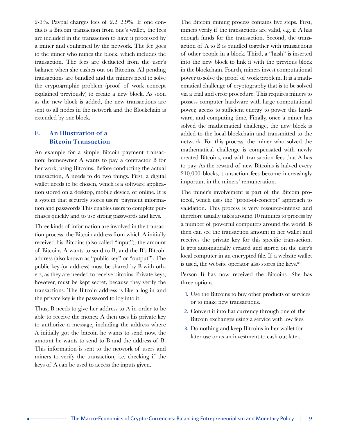2-3%. Paypal charges fees of  $2.2-2.9%$ . If one conducts a Bitcoin transaction from one's wallet, the fees are included in the transaction to have it processed by a miner and confirmed by the network. The fee goes to the miner who mines the block, which includes the transaction. The fees are deducted from the user's balance when she cashes out on Bitcoins. All pending transactions are bundled and the miners need to solve the cryptographic problem (proof of work concept explained previously) to create a new block. As soon as the new block is added, the new transactions are sent to all nodes in the network and the Blockchain is extended by one block.

#### **E. An Illustration of a Bitcoin Transaction**

An example for a simple Bitcoin payment transaction: homeowner A wants to pay a contractor B for her work, using Bitcoins. Before conducting the actual transaction, A needs to do two things. First, a digital wallet needs to be chosen, which is a software application stored on a desktop, mobile device, or online. It is a system that securely stores users' payment information and passwords This enables users to complete purchases quickly and to use strong passwords and keys.

Three kinds of information are involved in the transaction process: the Bitcoin address from which A initially received his Bitcoins (also called "input"), the amount of Bitcoins A wants to send to B, and the B's Bitcoin address (also known as "public key" or "output"). The public key (or address) must be shared by B with others, as they are needed to receive bitcoins. Private keys, however, must be kept secret, because they verify the transactions. The Bitcoin address is like a log-in and the private key is the password to log into it.

Thus, B needs to give her address to A in order to be able to receive the money. A then uses his private key to authorize a message, including the address where A initially got the bitcoin he wants to send now, the amount he wants to send to B and the address of B. This information is sent to the network of users and miners to verify the transaction, i.e. checking if the keys of A can be used to access the inputs given.

The Bitcoin mining process contains five steps. First, miners verify if the transactions are valid, e.g. if A has enough funds for the transaction. Second, the transaction of A to B is bundled together with transactions of other people in a block. Third, a "hash" is inserted into the new block to link it with the previous block in the blockchain. Fourth, miners invest computational power to solve the proof of work problem. It is a mathematical challenge of cryptography that is to be solved via a trial and error procedure. This requires miners to possess computer hardware with large computational power, access to sufficient energy to power this hardware, and computing time. Finally, once a miner has solved the mathematical challenge, the new block is added to the local blockchain and transmitted to the network. For this process, the miner who solved the mathematical challenge is compensated with newly created Bitcoins, and with transaction fees that A has to pay. As the reward of new Bitcoins is halved every 210,000 blocks, transaction fees become increasingly important in the miners' remuneration.

The miner's involvement is part of the Bitcoin protocol, which uses the "proof-of-concept" approach to validation. This process is very resource-intense and therefore usually takes around 10 minutes to process by a number of powerful computers around the world. B then can see the transaction amount in her wallet and receives the private key for this specific transaction. It gets automatically created and stored on the user's local computer in an encrypted file. If a website wallet is used, the website operator also stores the keys.<sup>86</sup>

Person B has now received the Bitcoins. She has three options:

- 1. Use the Bitcoins to buy other products or services or to make new transactions.
- 2. Convert it into fiat currency through one of the Bitcoin exchanges using a service with low fees.
- 3. Do nothing and keep Bitcoins in her wallet for later use or as an investment to cash out later.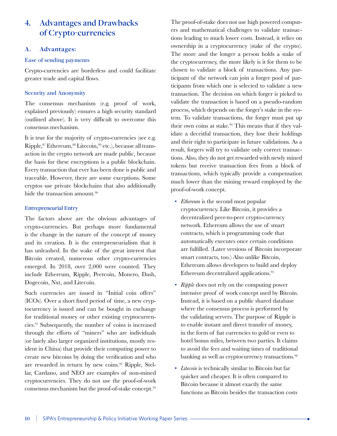## **4. Advantages and Drawbacks of Crypto-currencies**

#### **A. Advantages:**

#### Ease of sending payments

Crypto-currencies are borderless and could facilitate greater trade and capital flows.

#### Security and Anonymity

The consensus mechanism (e.g. proof of work, explained previously) ensures a high security standard (outlined above). It is very difficult to overcome this consensus mechanism.

It is true for the majority of crypto-currencies (see e.g. Ripple, <sup>87</sup> Ethereum, <sup>88</sup> Litecoin, <sup>89</sup> etc.), because all transaction in the crypto network are made public, because the basis for these encryptions is a public blockchain. Every transaction that ever has been done is public and traceable. However, there are some exceptions. Some cryptos use private blockchains that also additionally hide the transaction amount.<sup>90</sup>

#### **Entrepreneurial Entry**

The factors above are the obvious advantages of crypto-currencies. But perhaps more fundamental is the change in the nature of the concept of money and its creation. It is the entrepreneurialism that it has unleashed. In the wake of the great interest that Bitcoin created, numerous other crypto-currencies emerged. In 2018, over 2,000 were counted. They include Ethereum, Ripple, Peercoin, Monero, Dash, Dogecoin, Nxt, and Litecoin.

Such currencies are issued in "Initial coin offers" (ICOs). Over a short fixed period of time, a new cryptocurrency is issued and can be bought in exchange for traditional money or other existing cryptocurrencies.91 Subsequently, the number of coins is increased through the efforts of "miners" who are individuals (or lately also larger organized institutions, mostly resident in China) that provide their computing power to create new bitcoins by doing the verification and who are rewarded in return by new coins.<sup>92</sup> Ripple, Stellar, Cardano, and NEO are examples of non-mined cryptocurrencies. They do not use the proof-of-work consensus mechanism but the proof-of-stake concept.93

The proof-of-stake does not use high powered computers and mathematical challenges to validate transactions leading to much lower costs. Instead, it relies on ownership in a cryptocurrency (stake of the crypto). The more and the longer a person holds a stake of the cryptocurrency, the more likely is it for them to be chosen to validate a block of transactions. Any participant of the network can join a forger pool of participants from which one is selected to validate a new transaction. The decision on which forger is picked to validate the transaction is based on a pseudo-random process, which depends on the forger's stake in the system. To validate transactions, the forger must put up their own coins at stake.94 This means that if they validate a deceitful transaction, they lose their holdings and their right to participate in future validations. As a result, forgers will try to validate only correct transactions. Also, they do not get rewarded with newly mined tokens but receive transaction fees from a block of transactions, which typically provide a compensation much lower than the mining reward employed by the proof-of-work concept.

- *Ethereum* is the second most popular cryptocurrency. Like Bitcoin, it provides a decentralized peer-to-peer crypto-currency network. Ethereum allows the use of smart contracts, which is programming code that automatically executes once certain conditions are fulfilled. (Later versions of Bitcoin incorporate smart contracts, too.) Also unlike Bitcoin, Ethereum allows developers to build and deploy Ethereum decentralized applications.95
- *Ripple* does not rely on the computing power intensive proof of work concept used by Bitcoin. Instead, it is based on a public shared database where the consensus process is performed by the validating servers. The purpose of Ripple is to enable instant and direct transfer of money, in the form of fiat currencies to gold or even to hotel bonus miles, between two parties. It claims to avoid the fees and waiting times of traditional banking as well as cryptocurrency transactions.<sup>96</sup>
- *Litecoin* is technically similar to Bitcoin but far quicker and cheaper. It is often compared to Bitcoin because it almost exactly the same functions as Bitcoin besides the transaction costs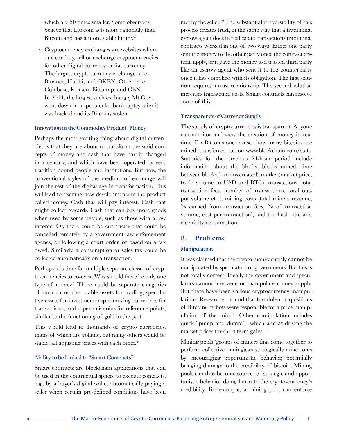which are 50 times smaller. Some observers believe that Litecoin acts more rationally than Bitcoin and has a more stable future.<sup>97</sup>

• Cryptocurrency exchanges are websites where one can buy, sell or exchange cryptocurrencies for other digital currency or fiat currency. The largest cryptocurrency exchanges are Binance, Huobi, and OKEX. Others are Coinbase, Kraken, Bitstamp, and CEX. In 2014, the largest such exchange, Mt Gox, went down in a spectacular bankruptcy after it was hacked and its Bitcoins stolen.

#### **Innovation in the Commodity Product "Money"**

Perhaps the most exciting thing about digital currencies is that they are about to transform the staid concepts of money and cash that have hardly changed in a century, and which have been operated by very tradition-bound people and institutions. But now, the conventional styles of the medium of exchange will join the rest of the digital age in transformation. This will lead to exciting new developments in the product called money. Cash that will pay interest. Cash that might collect rewards. Cash that can buy more goods when used by some people, such as those with a low income. Or, there could be currencies that could be cancelled remotely by a government law enforcement agency, or following a court order, or based on a tax owed. Similarly, a consumption or sales tax could be collected automatically on a transaction.

Perhaps it is time for multiple separate classes of crypto-currencies to co-exist. Why should there be only one type of money? There could be separate categories of such currencies: stable assets for trading, speculative assets for investment, rapid-moving currencies for transactions, and super-safe coins for reference points, similar to the functioning of gold in the past.

This would lead to thousands of crypto currencies, many of which are volatile, but many others would be stable, all adjusting prices with each other.98

#### **Ability to be Linked to "Smart Contracts"**

Smart contracts are blockchain applications that can be used in the contractual sphere to execute contracts, e.g., by a buyer's digital wallet automatically paying a seller when certain pre-defined conditions have been met by the seller.99 The substantial irreversibility of this process creates trust, in the same way that a traditional escrow agent does in real estate transactions traditional contracts worked in one of two ways: Either one party sent the money to the other party once the contract criteria apply, or it gave the money to a trusted third party like an escrow agent who sent it to the counterparty once it has complied with its obligation. The first solution requires a trust relationship. The second solution increases transaction costs. Smart contracts can resolve some of this.

#### **Transparency of Currency Supply**

The supply of cryptocurrencies is transparent. Anyone can monitor and view the creation of money in real time. For Bitcoins one can see how many bitcoins are mined, transferred etc. on www.blockchain.com/stats. Statistics for the previous 24-hour period include information about the blocks (blocks mined, time between blocks, bitcoins created), market (market price, trade volume in USD and BTC), transactions (total transaction fees, number of transactions, total output volume etc.), mining costs (total miners revenue,  $\%$  earned from transaction fees,  $\%$  of transaction volume, cost per transaction), and the hash rate and electricity consumption.

#### **B. Problems:**

#### **Manipulation**

It was claimed that the crypto money supply cannot be manipulated by speculators or governments. But this is not totally correct. Ideally the government and speculators cannot intervene or manipulate money supply. But there have been various cryptocurrency manipulations. Researchers found that fraudulent acquisitions of Bitcoins by bots were responsible for a price manipulation of the coin.100 Other manipulation includes quick "pump and dump"—which aim at driving the market prices for short term gains.<sup>101</sup>

Mining pools (groups of miners that come together to perform collective mining)can strategically mine coins by encouraging opportunistic behavior, potentially bringing damage to the credibility of bitcoin. Mining pools can thus become sources of strategic and opportunistic behavior doing harm to the crypto-currency's credibility. For example, a mining pool can enforce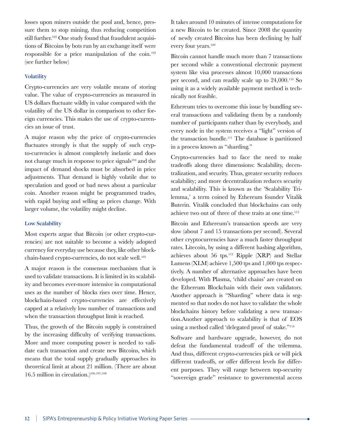losses upon miners outside the pool and, hence, pressure them to stop mining, thus reducing competition still further.<sup>102</sup> One study found that fraudulent acquisitions of Bitcoins by bots run by an exchange itself were responsible for a price manipulation of the coin.<sup>103</sup> (see further below)

#### **Volatility**

Crypto-currencies are very volatile means of storing value. The value of crypto-currencies as measured in US dollars fluctuate wildly in value compared with the volatility of the US dollar in comparison to other foreign currencies. This makes the use of crypto-currencies an issue of trust.

A major reason why the price of crypto-currencies fluctuates strongly is that the supply of such crypto-currencies is almost completely inelastic and does not change much in response to price signals<sup>104</sup> and the impact of demand shocks must be absorbed in price adjustments. That demand is highly volatile due to speculation and good or bad news about a particular coin. Another reason might be programmed trades, with rapid buying and selling as prices change. With larger volume, the volatility might decline.

#### **Low Scalability**

Most experts argue that Bitcoin (or other crypto-currencies) are not suitable to become a widely adopted currency for everyday use because they, like other blockchain-based crypto-currencies, do not scale well.105

A major reason is the consensus mechanism that is used to validate transactions. It is limited in its scalability and becomes ever-more intensive in computational uses as the number of blocks rises over time. Hence, blockchain-based crypto-currencies are effectively capped at a relatively low number of transactions and when the transaction throughput limit is reached.

Thus, the growth of the Bitcoin supply is constrained by the increasing difficulty of verifying transactions. More and more computing power is needed to validate each transaction and create new Bitcoins, which means that the total supply gradually approaches its theoretical limit at about 21 million. (There are about 16.5 million in circulation.)106,107,108

It takes around 10 minutes of intense computations for a new Bitcoin to be created. Since 2008 the quantity of newly created Bitcoins has been declining by half every four years.<sup>109</sup>

Bitcoin cannot handle much more than 7 transactions per second while a conventional electronic payment system like visa processes almost 10,000 transactions per second, and can readily scale up to 24,000.110 So using it as a widely available payment method is technically not feasible.

Ethereum tries to overcome this issue by bundling several transactions and validating them by a randomly number of participants rather than by everybody, and every node in the system receives a "light" version of the transaction bundle.111 The database is partitioned in a process known as "sharding."

Crypto-currencies had to face the need to make tradeoffs along three dimensions: Scalability, decentralization, and security. Thus, greater security reduces scalability; and more decentralization reduces security and scalability. This is known as the 'Scalability Trilemma,' a term coined by Ethereum founder Vitalik Buterin. Vitalik concluded that blockchains can only achieve two out of three of these traits at one time.112

Bitcoin and Ethereum's transaction speeds are very slow (about 7 and 15 transactions per second). Several other cryptocurrencies have a much faster throughput rates. Litecoin, by using a different hashing algorithm, achieves about 56 tps.113 Ripple (XRP) and Stellar Lumens (XLM) achieve 1,500 tps and 1,000 tps respectively. A number of alternative approaches have been developed. With Plasma, 'child chains' are created on the Ethereum Blockchain with their own validators. Another approach is "Sharding" where data is segmented so that nodes do not have to validate the whole blockchains history before validating a new transaction.Another approach to scalability is that of EOS using a method called 'delegated proof of stake."<sup>114</sup>

Software and hardware upgrade, however, do not defeat the fundamental tradeoff of the trilemma. And thus, different crypto-currencies pick or will pick different tradeoffs, or offer different levels for different purposes. They will range between top-security "sovereign grade" resistance to governmental access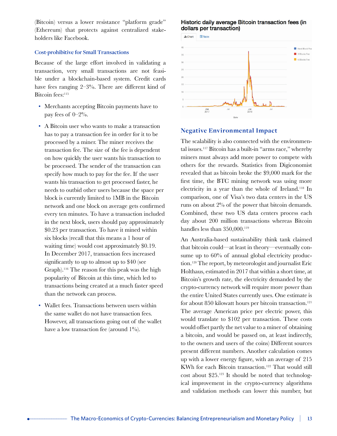(Bitcoin) versus a lower resistance "platform grade" (Ethereum) that protects against centralized stakeholders like Facebook.

#### **Cost-prohibitive for Small Transactions**

Because of the large effort involved in validating a transaction, very small transactions are not feasible under a blockchain-based system. Credit cards have fees ranging 2–3%. There are different kind of Bitcoin fees:<sup>115</sup>

- Merchants accepting Bitcoin payments have to pay fees of 0–2%.
- A Bitcoin user who wants to make a transaction has to pay a transaction fee in order for it to be processed by a miner. The miner receives the transaction fee. The size of the fee is dependent on how quickly the user wants his transaction to be processed. The sender of the transaction can specify how much to pay for the fee. If the user wants his transaction to get processed faster, he needs to outbid other users because the space per block is currently limited to 1MB in the Bitcoin network and one block on average gets confirmed every ten minutes. To have a transaction included in the next block, users should pay approximately \$0.23 per transaction. To have it mined within six blocks (recall that this means a 1 hour of waiting time) would cost approximately \$0.19. In December 2017, transaction fees increased significantly to up to almost up to \$40 (see Graph).116 The reason for this peak was the high popularity of Bitcoin at this time, which led to transactions being created at a much faster speed than the network can process.
- Wallet fees. Transactions between users within the same wallet do not have transaction fees. However, all transactions going out of the wallet have a low transaction fee (around  $1\%$ ).

#### Historic daily average Bitcoin transaction fees (in dollars per transaction)



#### **Negative Environmental Impact**

The scalability is also connected with the environmental issues.117 Bitcoin has a built-in "arms race," whereby miners must always add more power to compete with others for the rewards. Statistics from Digiconomist revealed that as bitcoin broke the \$9,000 mark for the first time, the BTC mining network was using more electricity in a year than the whole of Ireland.118 In comparison, one of Visa's two data centers in the US runs on about 2% of the power that bitcoin demands. Combined, these two US data centers process each day about 200 million transactions whereas Bitcoin handles less than 350,000.<sup>119</sup>

An Australia-based sustainability think tank claimed that bitcoin could—at least in theory—eventually consume up to  $60\%$  of annual global electricity production.120 The report, by meteorologist and journalist Eric Holthaus, estimated in 2017 that within a short time, at Bitcoin's growth rate, the electricity demanded by the crypto-currency network will require more power than the entire United States currently uses. One estimate is for about 850 kilowatt hours per bitcoin transaction.<sup>121</sup> The average American price per electric power, this would translate to \$102 per transaction. These costs would offset partly the net value to a miner of obtaining a bitcoin, and would be passed on, at least indirectly, to the owners and users of the coins) Different sources present different numbers. Another calculation comes up with a lower energy figure, with an average of 215 KWh for each Bitcoin transaction.<sup>122</sup> That would still cost about \$25.123 It should be noted that technological improvement in the crypto-currency algorithms and validation methods can lower this number, but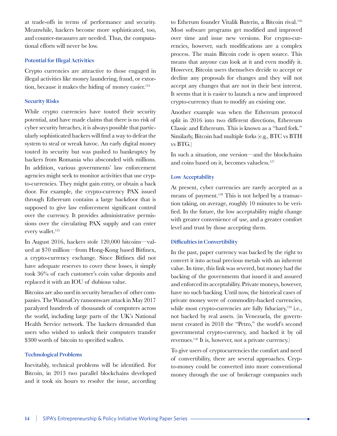at trade-offs in terms of performance and security. Meanwhile, hackers become more sophisticated, too, and counter-measures are needed. Thus, the computational efforts will never be low.

#### **Potential for Illegal Activities**

Crypto currencies are attractive to those engaged in illegal activities like money laundering, fraud, or extortion, because it makes the hiding of money easier.<sup>124</sup>

#### **Security Risks**

While crypto currencies have touted their security potential, and have made claims that there is no risk of cyber security breaches, it is always possible that particularly sophisticated hackers will find a way to defeat the system to steal or wreak havoc. An early digital money touted its security but was pushed to bankruptcy by hackers from Romania who absconded with millions. In addition, various governments' law enforcement agencies might seek to monitor activities that use crypto-currencies. They might gain entry, or obtain a back door. For example, the crypto-currency PAX issued through Ethereum contains a large backdoor that is supposed to give law enforcement significant control over the currency. It provides administrative permissions over the circulating PAX supply and can enter every wallet.<sup>125</sup>

In August 2016, hackers stole 120,000 bitcoins—valued at \$70 million—from Hong-Kong based Bitfinex, a crypto-currency exchange. Since Bitfinex did not have adequate reserves to cover these losses, it simply took 36% of each customer's coin value deposits and replaced it with an IOU of dubious value.

Bitcoins are also used in security breaches of other companies. The WannaCry ransomware attack in May 2017 paralyzed hundreds of thousands of computers across the world, including large parts of the UK's National Health Service network. The hackers demanded that users who wished to unlock their computers transfer \$300 worth of bitcoin to specified wallets.

#### **Technological Problems**

Inevitably, technical problems will be identified. For Bitcoin, in 2013 two parallel blockchains developed and it took six hours to resolve the issue, according to Etherum founder Vitalik Buterin, a Bitcoin rival.126 Most software programs get modified and improved over time and issue new versions. For crypto-currencies, however, such modifications are a complex process. The main Bitcoin code is open source. This means that anyone can look at it and even modify it. However, Bitcoin users themselves decide to accept or decline any proposals for changes and they will not accept any changes that are not in their best interest. It seems that it is easier to launch a new and improved crypto-currency than to modify an existing one.

Another example was when the Ethereum protocol split in 2016 into two different directions, Ethereum Classic and Ethereum. This is known as a "hard fork." Similarly, Bitcoin had multiple forks (e.g., BTC vs BTH vs BTG.)

In such a situation, one version—and the blockchains and coins based on it, becomes valueless.127

#### **Low Acceptability**

At present, cyber currencies are rarely accepted as a means of payment.<sup>128</sup> This is not helped by a transaction taking, on average, roughly 10 minutes to be verified. In the future, the low acceptability might change with greater convenience of use, and a greater comfort level and trust by those accepting them.

#### **Difficulties in Convertibility**

In the past, paper currency was backed by the right to convert it into actual precious metals with an inherent value. In time, this link was severed, but money had the backing of the governments that issued it and assured and enforced its acceptability. Private moneys, however, have no such backing. Until now, the historical cases of private money were of commodity-backed currencies, while most crypto-currencies are fully fiduciary, $129$  i.e., not backed by real assets. (in Venezuela, the government created in 2018 the "Petro," the world's second governmental crypto-currency, and backed it by oil revenues.130 It is, however, not a private currency.)

To give users of cryptocurrencies the comfort and need of convertibility, there are several approaches. Crypto-money could be converted into more conventional money through the use of brokerage companies such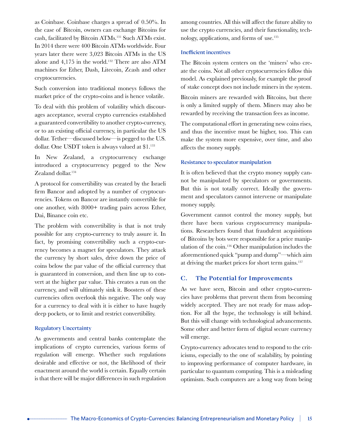as Coinbase. Coinbase charges a spread of 0.50%. In the case of Bitcoin, owners can exchange Bitcoins for cash, facilitated by Bitcoin ATMs.131 Such ATMs exist. In 2014 there were 400 Bitcoin ATMs worldwide. Four years later there were 3,023 Bitcoin ATMs in the US alone and 4,175 in the world.132 There are also ATM machines for Ether, Dash, Litecoin, Zcash and other cryptocurrencies.

Such conversion into traditional moneys follows the market price of the crypto-coins and is hence volatile.

To deal with this problem of volatility which discourages acceptance, several crypto currencies established a guaranteed convertibility to another crypto-currency, or to an existing official currency, in particular the US dollar. Tether—discussed below—is pegged to the U.S. dollar. One USDT token is always valued at \$1.133

In New Zealand, a cryptocurrency exchange introduced a cryptocurrency pegged to the New Zealand dollar.<sup>134</sup>

A protocol for convertibility was created by the Israeli firm Bancor and adopted by a number of cryptocurrencies. Tokens on Bancor are instantly convertible for one another, with 8000+ trading pairs across Ether, Dai, Binance coin etc.

The problem with convertibility is that is not truly possible for any crypto-currency to truly assure it. In fact, by promising convertibility such a crypto-currency becomes a magnet for speculators. They attack the currency by short sales, drive down the price of coins below the par value of the official currency that is guaranteed in conversion, and then line up to convert at the higher par value. This creates a run on the currency, and will ultimately sink it. Boosters of these currencies often overlook this negative. The only way for a currency to deal with it is either to have hugely deep pockets, or to limit and restrict convertibility.

#### **Regulatory Uncertainty**

As governments and central banks contemplate the implications of crypto currencies, various forms of regulation will emerge. Whether such regulations desirable and effective or not, the likelihood of their enactment around the world is certain. Equally certain is that there will be major differences in such regulation

among countries. All this will affect the future ability to use the crypto currencies, and their functionality, technology, applications, and forms of use.135

#### **Inefficient incentives**

The Bitcoin system centers on the 'miners' who create the coins. Not all other cryptocurrencies follow this model. As explained previously, for example the proof of stake concept does not include miners in the system.

Bitcoin miners are rewarded with Bitcoins, but there is only a limited supply of them. Miners may also be rewarded by receiving the transaction fees as income.

The computational effort in generating new coins rises, and thus the incentive must be higher, too. This can make the system more expensive, over time, and also affects the money supply.

#### **Resistance to speculator manipulation**

It is often believed that the crypto money supply cannot be manipulated by speculators or governments. But this is not totally correct. Ideally the government and speculators cannot intervene or manipulate money supply.

Government cannot control the money supply, but there have been various cryptocurrency manipulations. Researchers found that fraudulent acquisitions of Bitcoins by bots were responsible for a price manipulation of the coin.136 Other manipulation includes the aforementioned quick "pump and dump"—which aim at driving the market prices for short term gains.137

#### **C. The Potential for Improvements**

As we have seen, Bitcoin and other crypto-currencies have problems that prevent them from becoming widely accepted. They are not ready for mass adoption. For all the hype, the technology is still behind. But this will change with technological advancements. Some other and better form of digital secure currency will emerge.

Crypto-currency advocates tend to respond to the criticisms, especially to the one of scalability, by pointing to improving performance of computer hardware, in particular to quantum computing. This is a misleading optimism. Such computers are a long way from being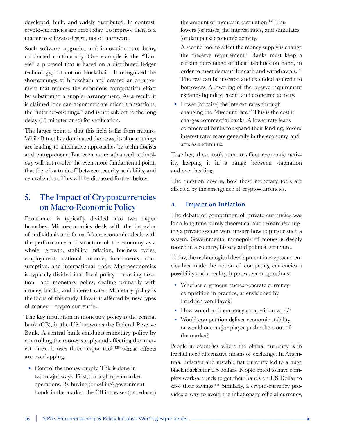developed, built, and widely distributed. In contrast, crypto-currencies are here today. To improve them is a matter to software design, not of hardware.

Such software upgrades and innovations are being conducted continuously. One example is the "Tangle" a protocol that is based on a distributed ledger technology, but not on blockchain. It recognized the shortcomings of blockchain and created an arrangement that reduces the enormous computation effort by substituting a simpler arrangement. As a result, it is claimed, one can accommodate micro-transactions, the "internet-of-things," and is not subject to the long delay (10 minutes or so) for verification.

The larger point is that this field is far from mature. While Bitnet has dominated the news, its shortcomings are leading to alternative approaches by technologists and entrepreneur. But even more advanced technology will not resolve the even more fundamental point, that there is a tradeoff between security, scalability, and centralization. This will be discussed further below.

## **5. The Impact of Cryptocurrencies on Macro-Economic Policy**

Economics is typically divided into two major branches. Microeconomics deals with the behavior of individuals and firms, Macroeconomics deals with the performance and structure of the economy as a whole—growth, stability, inflation, business cycles, employment, national income, investments, consumption, and international trade. Macroeconomics is typically divided into fiscal policy—covering taxation—and monetary policy, dealing primarily with money, banks, and interest rates. Monetary policy is the focus of this study. How it is affected by new types of money—crypto-currencies.

The key institution in monetary policy is the central bank (CB), in the US known as the Federal Reserve Bank. A central bank conducts monetary policy by controlling the money supply and affecting the interest rates. It uses three major tools<sup>138</sup> whose effects are overlapping:

• Control the money supply. This is done in two major ways. First, through open market operations. By buying (or selling) government bonds in the market, the CB increases (or reduces)

the amount of money in circulation.<sup>139</sup> This lowers (or raises) the interest rates, and stimulates (or dampens) economic activity.

A second tool to affect the money supply is change the "reserve requirement." Banks must keep a certain percentage of their liabilities on hand, in order to meet demand for cash and withdrawals.140 The rest can be invested and extended as credit to borrowers. A lowering of the reserve requirement expands liquidity, credit, and economic activity.

• Lower (or raise) the interest rates through changing the "discount rate." This is the cost it charges commercial banks. A lower rate leads commercial banks to expand their lending, lowers interest rates more generally in the economy, and acts as a stimulus.

Together, these tools aim to affect economic activity, keeping it in a range between stagnation and over-heating.

The question now is, how these monetary tools are affected by the emergence of crypto-currencies.

#### **A. Impact on Inflation**

The debate of competition of private currencies was for a long time purely theoretical and researchers urging a private system were unsure how to pursue such a system. Governmental monopoly of money is deeply rooted in a country, history and political structure.

Today, the technological development in cryptocurrencies has made the notion of competing currencies a possibility and a reality. It poses several questions:

- Whether cryptocurrencies generate currency competition in practice, as envisioned by Friedrich von Hayek?
- How would such currency competition work?
- Would competition deliver economic stability, or would one major player push others out of the market?

People in countries where the official currency is in freefall need alternative means of exchange. In Argentina, inflation and instable fiat currency led to a huge black market for US dollars. People opted to have complex work-arounds to get their hands on US Dollar to save their savings.<sup>141</sup> Similarly, a crypto-currency provides a way to avoid the inflationary official currency,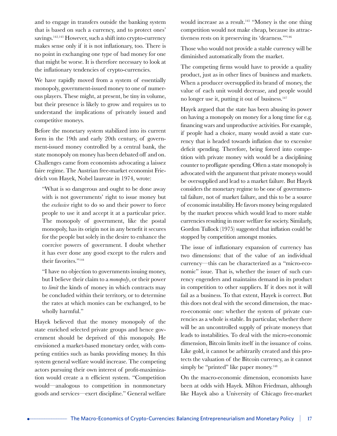and to engage in transfers outside the banking system that is based on such a currency, and to protect ones' savings.142,143 However, such a shift into crypto-currency makes sense only if it is not inflationary, too. There is no point in exchanging one type of bad money for one that might be worse. It is therefore necessary to look at the inflationary tendencies of crypto-currencies.

We have rapidly moved from a system of essentially monopoly, government-issued money to one of numerous players. These might, at present, be tiny in volume, but their presence is likely to grow and requires us to understand the implications of privately issued and competitive moneys.

Before the monetary system stabilized into its current form in the 19th and early 20th century, of government-issued money controlled by a central bank, the state monopoly on money has been debated off and on. Challenges came from economists advocating a laissez faire regime. The Austrian free-market economist Friedrich von Hayek, Nobel laureate in 1974, wrote:

"What is so dangerous and ought to be done away with is not governments' right to issue money but the *exclusive* right to do so and their power to force people to use it and accept it at a particular price. The monopoly of government, like the postal monopoly, has its origin not in any benefit it secures for the people but solely in the desire to enhance the coercive powers of government. I doubt whether it has ever done any good except to the rulers and their favorites."<sup>144</sup>

"I have no objection to governments issuing money, but I believe their claim to a *monopoly*, or their power to *limit* the kinds of money in which contracts may be concluded within their territory, or to determine the rates at which monies can be exchanged, to be wholly harmful."

Hayek believed that the money monopoly of the state enriched selected private groups and hence government should be deprived of this monopoly. He envisioned a market-based monetary order, with competing entities such as banks providing money. In this system general welfare would increase. The competing actors pursuing their own interest of profit-maximization would create a n efficient system. "Competition would—analogous to competition in nonmonetary goods and services—exert discipline." General welfare

would increase as a result.<sup>145</sup> "Money is the one thing competition would not make cheap, because its attractiveness rests on it preserving its 'dearness.'"<sup>146</sup>

Those who would not provide a stable currency will be diminished automatically from the market.

The competing firms would have to provide a quality product, just as in other lines of business and markets. When a producer oversupplied its brand of money, the value of each unit would decrease, and people would no longer use it, putting it out of business.<sup>147</sup>

Hayek argued that the state has been abusing its power on having a monopoly on money for a long time for e.g. financing wars and unproductive activities. For example, if people had a choice, many would avoid a state currency that is headed towards inflation due to excessive deficit spending. Therefore, being forced into competition with private money with would be a disciplining counter to profligate spending. Often a state monopoly is advocated with the argument that private moneys would be oversupplied and lead to a market failure. But Hayek considers the monetary regime to be one of governmental failure, not of market failure, and this to be a source of economic instability. He favors money being regulated by the market process which would lead to more stable currencies resulting in more welfare for society. Similarly, Gordon Tullock (1975) suggested that inflation could be stopped by competition amongst monies.

The issue of inflationary expansion of currency has two dimensions: that of the value of an individual currency—this can be characterized as a "micro-economic" issue. That is, whether the issuer of such currency engenders and maintains demand in its product in competition to other suppliers. If it does not it will fail as a business. To that extent, Hayek is correct. But this does not deal with the second dimension, the macro-economic one: whether the system of private currencies as a whole is stable. In particular, whether there will be an uncontrolled supply of private moneys that leads to instabilities. To deal with the micro-economic dimension, Bitcoin limits itself in the issuance of coins. Like gold, it cannot be arbitrarily created and this protects the valuation of the Bitcoin currency, as it cannot simply be "printed" like paper money.<sup>148</sup>

On the macro-economic dimension, economists have been at odds with Hayek. Milton Friedman, although like Hayek also a University of Chicago free-market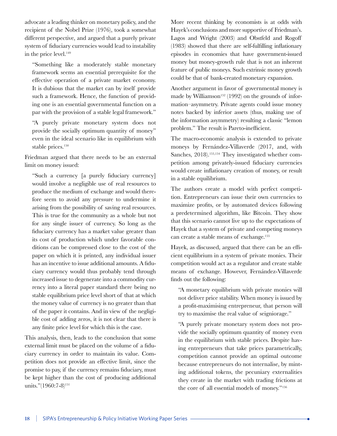advocate a leading thinker on monetary policy, and the recipient of the Nobel Prize (1976), took a somewhat different perspective, and argued that a purely private system of fiduciary currencies would lead to instability in the price level.<sup>149</sup>

"Something like a moderately stable monetary framework seems an essential prerequisite for the effective operation of a private market economy. It is dubious that the market can by itself provide such a framework. Hence, the function of providing one is an essential governmental function on a par with the provision of a stable legal framework."

"A purely private monetary system does not provide the socially optimum quantity of money" even in the ideal scenario like in equilibrium with stable prices.<sup>150</sup>

Friedman argued that there needs to be an external limit on money issued:

"Such a currency [a purely fiduciary currency] would involve a negligible use of real resources to produce the medium of exchange and would therefore seem to avoid any pressure to undermine it arising from the possibility of saving real resources. This is true for the community as a whole but not for any single issuer of currency. So long as the fiduciary currency has a market value greater than its cost of production which under favorable conditions can be compressed close to the cost of the paper on which it is printed, any individual issuer has an incentive to issue additional amounts. A fiduciary currency would thus probably tend through increased issue to degenerate into a commodity currency into a literal paper standard there being no stable equilibrium price level short of that at which the money value of currency is no greater than that of the paper it contains. And in view of the negligible cost of adding zeros, it is not clear that there is any finite price level for which this is the case.

This analysis, then, leads to the conclusion that some external limit must be placed on the volume of a fiduciary currency in order to maintain its value. Competition does not provide an effective limit, since the promise to pay, if the currency remains fiduciary, must be kept higher than the cost of producing additional units."(1960:7-8)<sup>151</sup>

More recent thinking by economists is at odds with Hayek's conclusions and more supportive of Friedman's. Lagos and Wright (2003) and Obstfeld and Rogoff (1983) showed that there are self-fulfilling inflationary episodes in economies that have government-issued money but money-growth rule that is not an inherent feature of public moneys. Such extrinsic money growth could be that of bank-created monetary expansion.

Another argument in favor of governmental money is made by Williamson<sup>152</sup> (1992) on the grounds of information–asymmetry. Private agents could issue money notes backed by inferior assets (thus, making use of the information asymmetry) resulting a classic "lemon problem." The result is Pareto-inefficient.

The macro-economic analysis is extended to private moneys by Fernández-Villaverde (2017, and, with Sanches, 2018).<sup>153,154</sup> They investigated whether competition among privately-issued fiduciary currencies would create inflationary creation of money, or result in a stable equilibrium.

The authors create a model with perfect competition. Entrepreneurs can issue their own currencies to maximize profits, or by automated devices following a predetermined algorithm, like Bitcoin. They show that this scenario cannot live up to the expectations of Hayek that a system of private and competing moneys can create a stable means of exchange.155

Hayek, as discussed, argued that there can be an efficient equilibrium in a system of private monies. Their competition would act as a regulator and create stable means of exchange. However, Fernández-Villaverde finds out the following:

"A monetary equilibrium with private monies will not deliver price stability. When money is issued by a profit-maximising entrepreneur, that person will try to maximise the real value of seigniorage."

"A purely private monetary system does not provide the socially optimum quantity of money even in the equilibrium with stable prices. Despite having entrepreneurs that take prices parametrically, competition cannot provide an optimal outcome because entrepreneurs do not internalise, by minting additional tokens, the pecuniary externalities they create in the market with trading frictions at the core of all essential models of money."156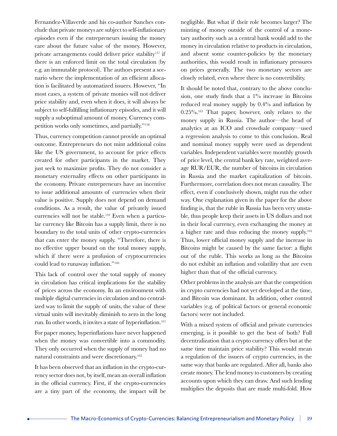Fernandez-Villaverde and his co-author Sanches conclude that private moneys are subject to self-inflationary episodes even if the entrepreneurs issuing the money care about the future value of the money. However, private arrangements could deliver price stability<sup>157</sup> if there is an enforced limit on the total circulation (by e.g. an immutable protocol). The authors present a scenario where the implementation of an efficient allocation is facilitated by automatized issuers. However, "In most cases, a system of private monies will not deliver price stability and, even when it does, it will always be subject to self-fulfilling inflationary episodes, and it will supply a suboptimal amount of money. Currency competition works only sometimes, and partially."<sup>158</sup>

Thus, currency competition cannot provide an optimal outcome. Entrepreneurs do not mint additional coins like the US government, to account for price effects created for other participants in the market. They just seek to maximize profits. They do not consider a monetary externality effects on other participants in the economy. Private entrepreneurs have an incentive to issue additional amounts of currencies when their value is positive. Supply does not depend on demand conditions. As a result, the value of privately issued currencies will not be stable.159 Even when a particular currency like Bitcoin has a supply limit, there is no boundary to the total units of other crypto-currencies that can enter the money supply. "Therefore, there is no effective upper bound on the total money supply, which if there were a profusion of cryptocurrencies could lead to runaway inflation."<sup>160</sup>

This lack of control over the total supply of money in circulation has critical implications for the stability of prices across the economy. In an environment with multiple digital currencies in circulation and no centralized way to limit the supply of units, the value of these virtual units will inevitably diminish to zero in the long run. In other words, it invites a state of hyperinflation.<sup>161</sup>

For paper money, hyperinflations have never happened when the money was convertible into a commodity. They only occurred when the supply of money had no natural constraints and were discretionary.<sup>162</sup>

It has been observed that an inflation in the crypto-currency sector does not, by itself, mean an overall inflation in the official currency. First, if the crypto-currencies are a tiny part of the economy, the impact will be negligible. But what if their role becomes larger? The minting of money outside of the control of a monetary authority such as a central bank would add to the money in circulation relative to products in circulation, and absent some counter-policies by the monetary authorities, this would result in inflationary pressures on prices generally. The two monetary sectors are closely related, even where there is no convertibility.

It should be noted that, contrary to the above conclusion, one study finds that a  $1\%$  increase in Bitcoins reduced real money supply by 0.4% and inflation by 0.25%.<sup>163</sup> That paper, however, only relates to the money supply in Russia. The author—the head of analytics at an ICO and crowdsale company—used a regression analysis to come to this conclusion. Real and nominal money supply were used as dependent variables. Independent variables were monthly growth of price level, the central bank key rate, weighted average RUR/EUR, the number of bitcoins in circulation in Russia and the market capitalization of bitcoin. Furthermore, correlation does not mean causality. The effect, even if conclusively shown, might run the other way. One explanation given in the paper for the above finding is, that the ruble in Russia has been very unstable, thus people keep their assets in US dollars and not in their local currency, even exchanging the money at a higher rate and thus reducing the money supply.164 Thus, lower official money supply and the increase in Bitcoins might be caused by the same factor: a flight out of the ruble. This works as long as the Bitcoins do not exhibit an inflation and volatility that are even higher than that of the official currency.

Other problems in the analysis are that the competition in crypto currencies had not yet developed at the time, and Bitcoin was dominant. In addition, other control variables (e.g. of political factors or general economic factors) were not included.

With a mixed system of official and private currencies emerging, is it possible to get the best of both? Full decentralization that a crypto currency offers but at the same time maintain price stability? This would mean a regulation of the issuers of crypto currencies, in the same way that banks are regulated. After all, banks also create money. The lend money to customers by creating accounts upon which they can draw. And such lending multiplies the deposits that are made multi-fold. How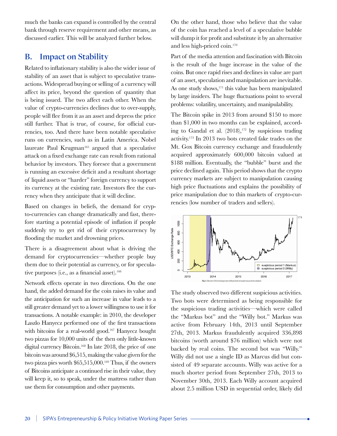much the banks can expand is controlled by the central bank through reserve requirement and other means, as discussed earlier. This will be analyzed further below.

### **B. Impact on Stability**

Related to inflationary stability is also the wider issue of stability of an asset that is subject to speculative transactions. Widespread buying or selling of a currency will affect its price, beyond the question of quantity that is being issued. The two affect each other. When the value of crypto-currencies declines due to over-supply, people will flee from it as an asset and depress the price still further. That is true, of course, for official currencies, too. And there have been notable speculative runs on currencies, such as in Latin America. Nobel laureate Paul Krugman<sup>165</sup> argued that a speculative attack on a fixed exchange rate can result from rational behavior by investors. They foresee that a government is running an excessive deficit and a resultant shortage of liquid assets or "harder" foreign currency to support its currency at the existing rate. Investors flee the currency when they anticipate that it will decline.

Based on changes in beliefs, the demand for crypto-currencies can change dramatically and fast, therefore starting a potential episode of inflation if people suddenly try to get rid of their cryptocurrency by flooding the market and drowning prices.

There is a disagreement about what is driving the demand for cryptocurrencies—whether people buy them due to their potential as currency, or for speculative purposes (i.e., as a financial asset).<sup>166</sup>

Network effects operate in two directions. On the one hand, the added demand for the coin raises its value and the anticipation for such an increase in value leads to a still greater demand yet to a lower willingness to use it for transactions. A notable example: in 2010, the developer Laszlo Hanyecz performed one of the first transactions with bitcoins for a real-world good.<sup>167</sup> Hanyecz bought two pizzas for 10,000 units of the then only little-known digital currency Bitcoin.<sup>168</sup> In late 2018, the price of one bitcoin was around \$6,515, making the value given for the two pizza pies worth \$65,515,000.<sup>169</sup> Thus, if the owners of Bitcoins anticipate a continued rise in their value, they will keep it, so to speak, under the mattress rather than use them for consumption and other payments.

On the other hand, those who believe that the value of the coin has reached a level of a speculative bubble will dump it for profit and substitute it by an alternative and less high-priced coin.170

Part of the media attention and fascination with Bitcoin is the result of the huge increase in the value of the coins. But once rapid rises and declines in value are part of an asset, speculation and manipulation are inevitable. As one study shows,<sup>171</sup> this value has been manipulated by large insiders. The huge fluctuations point to several problems: volatility, uncertainty, and manipulability.

The Bitcoin spike in 2013 from around \$150 to more than \$1,000 in two months can be explained, according to Gandal et al.  $(2018)$ ,  $172$  by suspicious trading activity.173 In 2013 two bots created fake trades on the Mt. Gox Bitcoin currency exchange and fraudulently acquired approximately 600,000 bitcoin valued at \$188 million. Eventually, the "bubble" burst and the price declined again. This period shows that the crypto currency markets are subject to manipulation causing high price fluctuations and explains the possibility of price manipulation due to thin markets of crypto-currencies (low number of traders and sellers).



The study observed two different suspicious activities. Two bots were determined as being responsible for the suspicious trading activities—which were called the "Markus bot" and the "Willy bot." Markus was active from February 14th, 2013 until September 27th, 2013. Markus fraudulently acquired 336,898 bitcoins (worth around \$76 million) which were not backed by real coins. The second bot was "Willy." Willy did not use a single ID as Marcus did but consisted of 49 separate accounts. Willy was active for a much shorter period from September 27th, 2013 to November 30th, 2013. Each Willy account acquired about 2.5 million USD in sequential order, likely did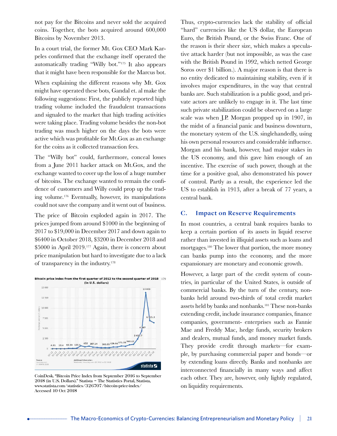not pay for the Bitcoins and never sold the acquired coins. Together, the bots acquired around 600,000 Bitcoins by November 2013.

In a court trial, the former Mt. Gox CEO Mark Karpeles confirmed that the exchange itself operated the automatically trading "Willy bot."175 It also appears that it might have been responsible for the Marcus bot.

When explaining the different reasons why Mt. Gox might have operated these bots, Gandal et. al make the following suggestions: First, the publicly reported high trading volume included the fraudulent transactions and signaled to the market that high trading activities were taking place. Trading volume besides the non-bot trading was much higher on the days the bots were active which was profitable for Mt.Gox as an exchange for the coins as it collected transaction fees.

The "Willy bot" could, furthermore, conceal losses from a June 2011 hacker attack on Mt.Gox, and the exchange wanted to cover up the loss of a huge number of bitcoins. The exchange wanted to remain the confidence of customers and Willy could prop up the trading volume.176 Eventually, however, its manipulations could not save the company and it went out of business.

The price of Bitcoin exploded again in 2017. The prices jumped from around \$1000 in the beginning of 2017 to \$19,000 in December 2017 and down again to \$6400 in October 2018, \$3200 in December 2018 and \$5000 in April 2019.177 Again, there is concern about price manipulation but hard to investigate due to a lack of transparency in the industry.178



CoinDesk. "Bitcoin Price Index from September 2016 to September 2018 (in U.S. Dollars)." Statista – The Statistics Portal, Statista, www.statista.com/statistics/326707/bitcoin-price-index/ Accessed 10 Oct 2018

Thus, crypto-currencies lack the stability of official "hard" currencies like the US dollar, the European Euro, the British Pound, or the Swiss Franc. One of the reason is their sheer size, which makes a speculative attack harder (but not impossible, as was the case with the British Pound in 1992, which netted George Soros over \$1 billion.). A major reason is that there is no entity dedicated to maintaining stability, even if it involves major expenditures, in the way that central banks are. Such stabilization is a public good, and private actors are unlikely to engage in it. The last time such private stabilization could be observed on a large scale was when J.P. Morgan propped up in 1907, in the midst of a financial panic and business downturn, the monetary system of the U.S. singlehandedly, using his own personal resources and considerable influence. Morgan and his bank, however, had major stakes in the US economy, and this gave him enough of an incentive. The exercise of such power, though at the time for a positive goal, also demonstrated his power of control. Partly as a result, the experience led the US to establish in 1913, after a break of 77 years, a central bank.

#### **C. Impact on Reserve Requirements**

In most countries, a central bank requires banks to keep a certain portion of its assets in liquid reserve rather than invested in illiquid assets such as loans and mortgages.180 The lower that portion, the more money can banks pump into the economy, and the more expansionary are monetary and economic growth.

However, a large part of the credit system of countries, in particular of the United States, is outside of commercial banks. By the turn of the century, nonbanks held around two-thirds of total credit market assets held by banks and nonbanks.181 These non-banks extending credit, include insurance companies, finance companies, government- enterprises such as Fannie Mae and Freddy Mac, hedge funds, security brokers and dealers, mutual funds, and money market funds. They provide credit through markets—for example, by purchasing commercial paper and bonds—or by extending loans directly. Banks and nonbanks are interconnected financially in many ways and affect each other. They are, however, only lightly regulated, on liquidity requirements.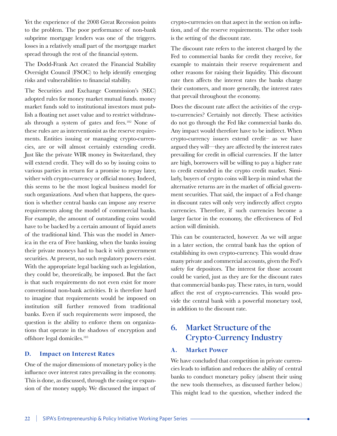Yet the experience of the 2008 Great Recession points to the problem. The poor performance of non-bank subprime mortgage lenders was one of the triggers. losses in a relatively small part of the mortgage market spread through the rest of the financial system.

The Dodd-Frank Act created the Financial Stability Oversight Council (FSOC) to help identify emerging risks and vulnerabilities to financial stability.

The Securities and Exchange Commission's (SEC) adopted rules for money market mutual funds. money market funds sold to institutional investors must publish a floating net asset value and to restrict withdrawals through a system of gates and fees.182 None of these rules are as interventionist as the reserve requirements. Entities issuing or managing crypto-currencies, are or will almost certainly extending credit. Just like the private WIR money in Switzerland, they will extend credit. They will do so by issuing coins to various parties in return for a promise to repay later, wither with crypto-currency or official money. Indeed, this seems to be the most logical business model for such organizations. And when that happens, the question is whether central banks can impose any reserve requirements along the model of commercial banks. For example, the amount of outstanding coins would have to be backed by a certain amount of liquid assets of the traditional kind. This was the model in America in the era of Free banking, when the banks issuing their private moneys had to back it with government securities. At present, no such regulatory powers exist. With the appropriate legal backing such as legislation, they could be, theoretically, be imposed. But the fact is that such requirements do not even exist for more conventional non-bank activities. It is therefore hard to imagine that requirements would be imposed on institution still further removed from traditional banks. Even if such requirements were imposed, the question is the ability to enforce them on organizations that operate in the shadows of encryption and offshore legal domiciles.183

#### **D. Impact on Interest Rates**

One of the major dimensions of monetary policy is the influence over interest rates prevailing in the economy. This is done, as discussed, through the easing or expansion of the money supply. We discussed the impact of

crypto-currencies on that aspect in the section on inflation, and of the reserve requirements. The other tools is the setting of the discount rate.

The discount rate refers to the interest charged by the Fed to commercial banks for credit they receive, for example to maintain their reserve requirement and other reasons for raising their liquidity. This discount rate then affects the interest rates the banks charge their customers, and more generally, the interest rates that prevail throughout the economy.

Does the discount rate affect the activities of the crypto-currencies? Certainly not directly. These activities do not go through the Fed like commercial banks do. Any impact would therefore have to be indirect. When crypto-currency issuers extend credit– as we have argued they will—they are affected by the interest rates prevailing for credit in official currencies. If the latter are high, borrowers will be willing to pay a higher rate to credit extended in the crypto credit market. Similarly, buyers of crypto coins will keep in mind what the alternative returns are in the market of official government securities. That said, the impact of a Fed change in discount rates will only very indirectly affect crypto currencies. Therefore, if such currencies become a larger factor in the economy, the effectiveness of Fed action will diminish.

This can be counteracted, however. As we will argue in a later section, the central bank has the option of establishing its own crypto-currency. This would draw many private and commercial accounts, given the Fed's safety for depositors. The interest for those account could be varied, just as they are for the discount rates that commercial banks pay. These rates, in turn, would affect the rest of crypto-currencies. This would provide the central bank with a powerful monetary tool, in addition to the discount rate.

## **6. Market Structure of the Crypto-Currency Industry**

#### **A. Market Power**

We have concluded that competition in private currencies leads to inflation and reduces the ability of central banks to conduct monetary policy (absent their using the new tools themselves, as discussed further below.) This might lead to the question, whether indeed the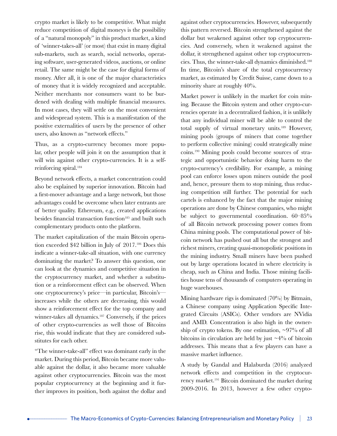crypto market is likely to be competitive. What might reduce competition of digital moneys is the possibility of a "natural monopoly" in this product market, a kind of 'winner-takes-all' (or most) that exist in many digital sub-markets, such as search, social networks, operating software, user-generated videos, auctions, or online retail. The same might be the case for digital forms of money. After all, it is one of the major characteristics of money that it is widely recognized and acceptable. Neither merchants nor consumers want to be burdened with dealing with multiple financial measures. In most cases, they will settle on the most convenient and widespread system. This is a manifestation of the positive externalities of users by the presence of other users, also known as "network effects."

Thus, as a crypto-currency becomes more popular, other people will join it on the assumption that it will win against other crypto-currencies. It is a selfreinforcing spiral.184

Beyond network effects, a market concentration could also be explained by superior innovation. Bitcoin had a first-mover advantage and a large network, but those advantages could be overcome when later entrants are of better quality. Ethereum, e.g., created applications besides financial transaction function<sup>185</sup> and built such complementary products onto the platform.

The market capitalization of the main Bitcoin operation exceeded \$42 billion in July of 2017.186 Does this indicate a winner-take-all situation, with one currency dominating the market? To answer this question, one can look at the dynamics and competitive situation in the cryptocurrency market, and whether a substitution or a reinforcement effect can be observed. When one cryptocurrency's price—in particular, Bitcoin's increases while the others are decreasing, this would show a reinforcement effect for the top company and winner-takes all dynamics.<sup>187</sup> Conversely, if the prices of other crypto-currencies as well those of Bitcoins rise, this would indicate that they are considered substitutes for each other.

"The winner-take-all" effect was dominant early in the market. During this period, Bitcoin became more valuable against the dollar, it also became more valuable against other cryptocurrencies. Bitcoin was the most popular cryptocurrency at the beginning and it further improves its position, both against the dollar and

against other cryptocurrencies. However, subsequently this pattern reversed. Bitcoin strengthened against the dollar but weakened against other top cryptocurrencies. And conversely, when it weakened against the dollar, it strengthened against other top cryptocurrencies. Thus, the winner-take-all dynamics diminished.188 In time, Bitcoin's share of the total cryptocurrency market, as estimated by Credit Suisse, came down to a minority share at roughly 40%.

Market power is unlikely in the market for coin mining. Because the Bitcoin system and other crypto-currencies operate in a decentralized fashion, it is unlikely that any individual miner will be able to control the total supply of virtual monetary units.189 However, mining pools (groups of miners that come together to perform collective mining) could strategically mine coins.190 Mining pools could become sources of strategic and opportunistic behavior doing harm to the crypto-currency's credibility. For example, a mining pool can enforce losses upon miners outside the pool and, hence, pressure them to stop mining, thus reducing competition still further. The potential for such cartels is enhanced by the fact that the major mining operations are done by Chinese companies, who might be subject to governmental coordination. 60–85% of all Bitcoin network processing power comes from China mining pools. The computational power of bitcoin network has pushed out all but the strongest and richest miners, creating quasi-monopolistic positions in the mining industry. Small miners have been pushed out by large operations located in where electricity is cheap, such as China and India. Those mining facilities house tens of thousands of computers operating in huge warehouses.

Mining hardware rigs is dominated (70%) by Bitmain, a Chinese company using Application Specific Integrated Circuits (ASICs). Other vendors are NVidia and AMD. Concentration is also high in the ownership of crypto tokens. By one estimation,  $\sim 97\%$  of all bitcoins in circulation are held by just  $\sim$  4% of bitcoin addresses. This means that a few players can have a massive market influence.

A study by Gandal and Halaburda (2016) analyzed network effects and competition in the cryptocurrency market.191 Bitcoin dominated the market during 2009-2016. In 2013, however a few other crypto-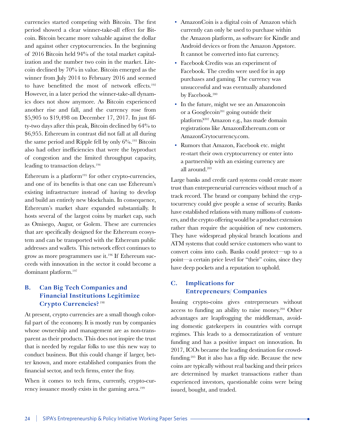currencies started competing with Bitcoin. The first period showed a clear winner-take-all effect for Bitcoin. Bitcoin became more valuable against the dollar and against other cryptocurrencies. In the beginning of 2016 Bitcoin held 94% of the total market capitalization and the number two coin in the market. Litecoin declined by 70% in value. Bitcoin emerged as the winner from July 2014 to February 2016 and seemed to have benefitted the most of network effects.<sup>192</sup> However, in a later period the winner-take-all dynamics does not show anymore. As Bitcoin experienced another rise and fall, and the currency rose from \$5,905 to \$19,498 on December 17, 2017. In just fifty-two days after this peak, Bitcoin declined by 64% to \$6,955. Ethereum in contrast did not fall at all during the same period and Ripple fell by only  $6\%$ .<sup>193</sup> Bitcoin also had other inefficiencies that were the byproduct of congestion and the limited throughput capacity, leading to transaction delays.<sup>194</sup>

Ethereum is a platform $195$  for other crypto-currencies, and one of its benefits is that one can use Ethereum's existing infrastructure instead of having to develop and build an entirely new blockchain. In consequence, Ethereum's market share expanded substantially. It hosts several of the largest coins by market cap, such as Omisego, Augur, or Golem. These are currencies that are specifically designed for the Ethereum ecosystem and can be transported with the Ethereum public addresses and wallets. This network effect continues to grow as more programmers use it.196 If Ethereum succeeds with innovation in the sector it could become a dominant platform.197

#### **B. Can Big Tech Companies and Financial Institutions Legitimize Crypto Currencies?**<sup>198</sup>

At present, crypto currencies are a small though colorful part of the economy. It is mostly run by companies whose ownership and management are as non-transparent as their products. This does not inspire the trust that is needed by regular folks to use this new way to conduct business. But this could change if larger, better known, and more established companies from the financial sector, and tech firms, enter the fray.

When it comes to tech firms, currently, crypto-currency issuance mostly exists in the gaming area.<sup>199</sup>

- AmazonCoin is a digital coin of Amazon which currently can only be used to purchase within the Amazon platform, as software for Kindle and Android devices or from the Amazon Appstore. It cannot be converted into fiat currency.
- Facebook Credits was an experiment of Facebook. The credits were used for in app purchases and gaming. The currency was unsuccessful and was eventually abandoned by Facebook.<sup>200</sup>
- In the future, might we see an Amazoncoin or a Googlecoin<sup>201</sup> going outside their platform?202 Amazon e.g., has made domain registrations like AmazonEthereum.com or AmazonCrytocurrency.com.
- Rumors that Amazon, Facebook etc. might re-start their own cryptocurrency or enter into a partnership with an existing currency are all around.203

Large banks and credit card systems could create more trust than entrepreneurial currencies without much of a track record. The brand or company behind the cryptocurrency could give people a sense of security. Banks have established relations with many millions of customers, and the crypto offering would be a product extension rather than require the acquisition of new customers. They have widespread physical branch locations and ATM systems that could service customers who want to convert coins into cash. Banks could protect—up to a point—a certain price level for "their" coins, since they have deep pockets and a reputation to uphold.

### **C. Implications for Entrepreneurs/ Companies**

Issuing crypto-coins gives entrepreneurs without access to funding an ability to raise money.204 Other advantages are leapfrogging the middleman, avoiding domestic gatekeepers in countries with corrupt regimes. This leads to a democratization of venture funding and has a positive impact on innovation. In 2017, ICOs became the leading destination for crowdfunding.205 But it also has a flip side. Because the new coins are typically without real backing and their prices are determined by market transactions rather than experienced investors, questionable coins were being issued, bought, and traded.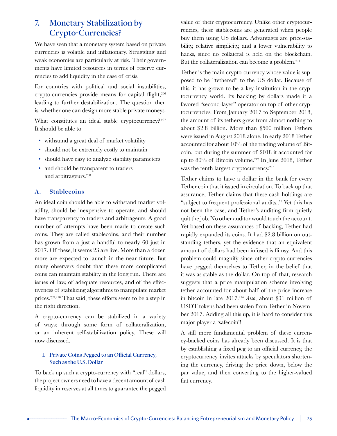## **7. Monetary Stabilization by Crypto-Currencies?**

We have seen that a monetary system based on private currencies is volatile and inflationary. Struggling and weak economies are particularly at risk. Their governments have limited resources in terms of reserve currencies to add liquidity in the case of crisis.

For countries with political and social instabilities, crypto-currencies provide means for capital flight,<sup>206</sup> leading to further destabilization. The question then is, whether one can design more stable private moneys.

What constitutes an ideal stable cryptocurrency? 207 It should be able to

- withstand a great deal of market volatility
- should not be extremely costly to maintain
- should have easy to analyze stability parameters
- and should be transparent to traders and arbitrageurs.208

#### **A. Stablecoins**

An ideal coin should be able to withstand market volatility, should be inexpensive to operate, and should have transparency to traders and arbitrageurs. A good number of attempts have been made to create such coins. They are called stablecoins, and their number has grown from a just a handful to nearly 60 just in 2017. Of these, it seems 23 are live. More than a dozen more are expected to launch in the near future. But many observers doubt that these more complicated coins can maintain stability in the long run. There are issues of law, of adequate resources, and of the effectiveness of stabilizing algorithms to manipulate market prices.209,210 That said, these efforts seem to be a step in the right direction.

A crypto-currency can be stabilized in a variety of ways: through some form of collateralization, or an inherent self-stabilization policy. These will now discussed.

#### **I. Private Coins Pegged to an Official Currency, Such as the U.S. Dollar**

To back up such a crypto-currency with "real" dollars, the project owners need to have a decent amount of cash liquidity in reserves at all times to guarantee the pegged value of their cryptocurrency. Unlike other cryptocurrencies, these stablecoins are generated when people buy them using US dollars. Advantages are price-stability, relative simplicity, and a lower vulnerability to hacks, since no collateral is held on the blockchain. But the collateralization can become a problem.<sup>211</sup>

Tether is the main crypto-currency whose value is supposed to be "tethered" to the US dollar. Because of this, it has grown to be a key institution in the cryptocurrency world. Its backing by dollars made it a favored "second-layer" operator on top of other cryptocurrencies. From January 2017 to September 2018, the amount of its tethers grew from almost nothing to about \$2.8 billion. More than \$500 million Tethers were issued in August 2018 alone. In early 2018 Tether accounted for about 10% of the trading volume of Bitcoin, but during the summer of 2018 it accounted for up to 80% of Bitcoin volume.<sup>212</sup> In June 2018, Tether was the tenth largest cryptocurrency.<sup>213</sup>

Tether claims to have a dollar in the bank for every Tether coin that it issued in circulation. To back up that assurance, Tether claims that these cash holdings are "subject to frequent professional audits.." Yet this has not been the case, and Tether's auditing firm quietly quit the job. No other auditor would touch the account. Yet based on these assurances of backing, Tether had rapidly expanded its coins. It had \$2.8 billion on outstanding tethers, yet the evidence that an equivalent amount of dollars had been infused is flimsy. And this problem could magnify since other crypto-currencies have pegged themselves to Tether, in the belief that it was as stable as the dollar. On top of that, research suggests that a price manipulation scheme involving tether accounted for about half of the price increase in bitcoin in late 2017.214 *Also*, about \$31 million of USDT tokens had been stolen from Tether in November 2017. Adding all this up, it is hard to consider this major player a 'safecoin'!

A still more fundamental problem of these currency-backed coins has already been discussed. It is that by establishing a fixed peg to an official currency, the cryptocurrency invites attacks by speculators shortening the currency, driving the price down, below the par value, and then converting to the higher-valued fiat currency.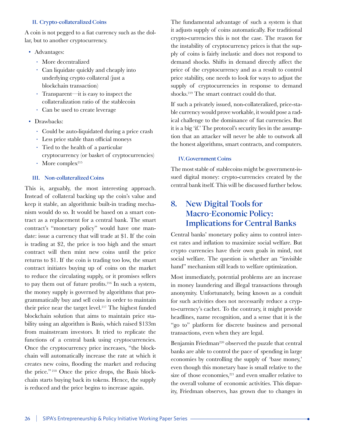#### **II. Crypto-collateralized Coins**

A coin is not pegged to a fiat currency such as the dollar, but to another cryptocurrency.

- Advantages:
	- ∙ More decentralized
	- ∙ Can liquidate quickly and cheaply into underlying crypto collateral (just a blockchain transaction)
	- ∙ Transparent—it is easy to inspect the collateralization ratio of the stablecoin
	- ∙ Can be used to create leverage
- Drawbacks:
	- ∙ Could be auto-liquidated during a price crash
	- ∙ Less price stable than official moneys
	- ∙ Tied to the health of a particular cryptocurrency (or basket of cryptocurrencies)
	- ∙ More complex215

#### **III. Non-collateralized Coins**

This is, arguably, the most interesting approach. Instead of collateral backing up the coin's value and keep it stable, an algorithmic built-in trading mechanism would do so. It would be based on a smart contract as a replacement for a central bank. The smart contract's "monetary policy" would have one mandate: issue a currency that will trade at \$1. If the coin is trading at \$2, the price is too high and the smart contract will then mint new coins until the price returns to \$1. If the coin is trading too low, the smart contract initiates buying up of coins on the market to reduce the circulating supply, or it promises sellers to pay them out of future profits.216 In such a system, the money supply is governed by algorithms that programmatically buy and sell coins in order to maintain their price near the target level.<sup>217</sup> The highest funded blockchain solution that aims to maintain price stability using an algorithm is Basis, which raised \$133m from mainstream investors. It tried to replicate the functions of a central bank using cryptocurrencies. Once the cryptocurrency price increases, "the blockchain will automatically increase the rate at which it creates new coins, flooding the market and reducing the price." 218 Once the price drops, the Basis blockchain starts buying back its tokens. Hence, the supply is reduced and the price begins to increase again.

The fundamental advantage of such a system is that it adjusts supply of coins automatically. For traditional crypto-currencies this is not the case. The reason for the instability of cryptocurrency prices is that the supply of coins is fairly inelastic and does not respond to demand shocks. Shifts in demand directly affect the price of the cryptocurrency and as a result to control price stability, one needs to look for ways to adjust the supply of cryptocurrencies in response to demand shocks.219 The smart contract could do that.

If such a privately issued, non-collateralized, price-stable currency would prove workable, it would pose a radical challenge to the dominance of fiat currencies. But it is a big 'if.' The protocol's security lies in the assumption that an attacker will never be able to outwork all the honest algorithms, smart contracts, and computers.

#### **IV.Government Coins**

The most stable of stablecoins might be government-issued digital money: crypto-currencies created by the central bank itself. This will be discussed further below.

## **8. New Digital Tools for Macro-Economic Policy: Implications for Central Banks**

Central banks' monetary policy aims to control interest rates and inflation to maximize social welfare. But crypto currencies have their own goals in mind, not social welfare. The question is whether an "invisible hand" mechanism still leads to welfare optimization.

Most immediately, potential problems are an increase in money laundering and illegal transactions through anonymity. Unfortunately, being known as a conduit for such activities does not necessarily reduce a crypto-currency's cachet. To the contrary, it might provide headlines, name recognition, and a sense that it is the "go to" platform for discrete business and personal transactions, even when they are legal.

Benjamin Friedman<sup>220</sup> observed the puzzle that central banks are able to control the pace of spending in large economies by controlling the supply of 'base money,' even though this monetary base is small relative to the size of those economies,<sup>221</sup> and even smaller relative to the overall volume of economic activities. This disparity, Friedman observes, has grown due to changes in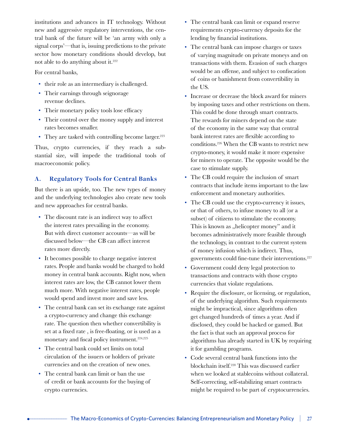institutions and advances in IT technology. Without new and aggressive regulatory interventions, the central bank of the future will be 'an army with only a signal corps'—that is, issuing predictions to the private sector how monetary conditions should develop, but not able to do anything about it.<sup>222</sup>

For central banks,

- their role as an intermediary is challenged.
- Their earnings through seignorage revenue declines.
- Their monetary policy tools lose efficacy
- Their control over the money supply and interest rates becomes smaller.
- They are tasked with controlling become larger.<sup>223</sup>

Thus, crypto currencies, if they reach a substantial size, will impede the traditional tools of macroeconomic policy.

#### **A. Regulatory Tools for Central Banks**

But there is an upside, too. The new types of money and the underlying technologies also create new tools and new approaches for central banks.

- The discount rate is an indirect way to affect the interest rates prevailing in the economy. But with direct customer accounts—as will be discussed below—the CB can affect interest rates more directly.
- It becomes possible to charge negative interest rates. People and banks would be charged to hold money in central bank accounts. Right now, when interest rates are low, the CB cannot lower them much more. With negative interest rates, people would spend and invest more and save less.
- The central bank can set its exchange rate against a crypto-currency and change this exchange rate. The question then whether convertibility is set at a fixed rate , is free-floating, or is used as a monetary and fiscal policy instrument.<sup>224,225</sup>
- The central bank could set limits on total circulation of the issuers or holders of private currencies and on the creation of new ones.
- The central bank can limit or ban the use of credit or bank accounts for the buying of crypto currencies.
- The central bank can limit or expand reserve requirements crypto-currency deposits for the lending by financial institutions.
- The central bank can impose charges or taxes of varying magnitude on private moneys and on transactions with them. Evasion of such charges would be an offense, and subject to confiscation of coins or banishment from convertibility in the US.
- Increase or decrease the block award for miners by imposing taxes and other restrictions on them. This could be done through smart contracts. The rewards for miners depend on the state of the economy in the same way that central bank interest rates are flexible according to conditions.226 When the CB wants to restrict new crypto-money, it would make it more expensive for miners to operate. The opposite would be the case to stimulate supply.
- The CB could require the inclusion of smart contracts that include items important to the law enforcement and monetary authorities.
- The CB could use the crypto-currency it issues, or that of others, to infuse money to all (or a subset) of citizens to stimulate the economy. This is known as "helicopter money" and it becomes administratively more feasible through the technology, in contrast to the current system of money infusion which is indirect. Thus, governments could fine-tune their interventions.<sup>227</sup>
- Government could deny legal protection to transactions and contracts with those crypto currencies that violate regulations.
- Require the disclosure, or licensing, or regulation, of the underlying algorithm. Such requirements might be impractical, since algorithms often get changed hundreds of times a year. And if disclosed, they could be hacked or gamed. But the fact is that such an approval process for algorithms has already started in UK by requiring it for gambling programs.
- Code several central bank functions into the blockchain itself.228 This was discussed earlier when we looked at stablecoins without collateral. Self-correcting, self-stabilizing smart contracts might be required to be part of cryptocurrencies.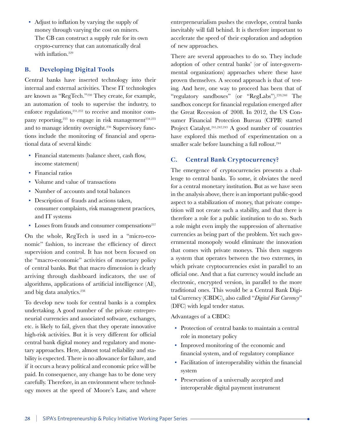• Adjust to inflation by varying the supply of money through varying the cost on miners. The CB can construct a supply rule for its own crypto-currency that can automatically deal with inflation.<sup>229</sup>

#### **B. Developing Digital Tools**

Central banks have inserted technology into their internal and external activities. These IT technologies are known as "RegTech."230 They create, for example, an automation of tools to supervise the industry, to enforce regulations,<sup>231,232</sup> to receive and monitor company reporting,<sup>233</sup> to engage in risk management<sup>234,235</sup> and to manage identity oversight.<sup>236</sup> Supervisory functions include the monitoring of financial and operational data of several kinds:

- Financial statements (balance sheet, cash flow, income statement)
- Financial ratios
- Volume and value of transactions
- Number of accounts and total balances
- Description of frauds and actions taken, consumer complaints, risk management practices, and IT systems
- Losses from frauds and consumer compensations<sup>237</sup>

On the whole, RegTech is used in a "micro-economic" fashion, to increase the efficiency of direct supervision and control. It has not been focused on the "macro-economic" activities of monetary policy of central banks. But that macro dimension is clearly arriving through dashboard indicators, the use of algorithms, applications of artificial intelligence (AI), and big data analytics.<sup>238</sup>

To develop new tools for central banks is a complex undertaking. A good number of the private entrepreneurial currencies and associated software, exchanges, etc. is likely to fail, given that they operate innovative high-risk activities. But it is very different for official central bank digital money and regulatory and monetary approaches. Here, almost total reliability and stability is expected. There is no allowance for failure, and if it occurs a heavy political and economic price will be paid. In consequence, any change has to be done very carefully. Therefore, in an environment where technology moves at the speed of Moore's Law, and where

entrepreneurialism pushes the envelope, central banks inevitably will fall behind. It is therefore important to accelerate the speed of their exploration and adoption of new approaches.

There are several approaches to do so. They include adoption of other central banks' (or of inter-governmental organizations) approaches where these have proven themselves. A second approach is that of testing. And here, one way to proceed has been that of "regulatory sandboxes" (or "RegLabs").<sup>239,240</sup> The sandbox concept for financial regulation emerged after the Great Recession of 2008. In 2012, the US Consumer Financial Protection Bureau (CFPB) started Project Catalyst.<sup>241,242,243</sup> A good number of countries have explored this method of experimentation on a smaller scale before launching a full rollout.<sup>244</sup>

#### **C. Central Bank Cryptocurrency?**

The emergence of cryptocurrencies presents a challenge to central banks. To some, it obviates the need for a central monetary institution. But as we have seen in the analysis above, there is an important public-good aspect to a stabilization of money, that private competition will not create such a stability, and that there is therefore a role for a public institution to do so. Such a role might even imply the suppression of alternative currencies as being part of the problem. Yet such governmental monopoly would eliminate the innovation that comes with private moneys. This then suggests a system that operates between the two extremes, in which private cryptocurrencies exist in parallel to an official one. And that a fiat currency would include an electronic, encrypted version, in parallel to the more traditional ones. This would be a Central Bank Digital Currency (CBDC), also called "*Digital Fiat Currency*" (DFC) with legal tender status.

Advantages of a CBDC:

- Protection of central banks to maintain a central role in monetary policy
- Improved monitoring of the economic and financial system, and of regulatory compliance
- Facilitation of interoperability within the financial system
- Preservation of a universally accepted and interoperable digital payment instrument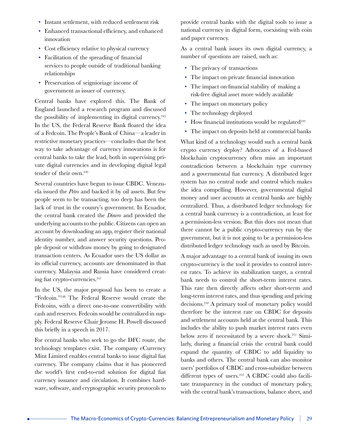- Instant settlement, with reduced settlement risk
- Enhanced transactional efficiency, and enhanced innovation
- Cost efficiency relative to physical currency
- Facilitation of the spreading of financial services to people outside of traditional banking relationships
- Preservation of seignioriage income of government as issuer of currency.

Central banks have explored this. The Bank of England launched a research program and discussed the possibility of implementing its digital currency.245 In the US, the Federal Reserve Bank floated the idea of a Fedcoin. The People's Bank of China—a leader in restrictive monetary practices—concludes that the best way to take advantage of currency innovations is for central banks to take the lead, both in supervising private digital currencies and in developing digital legal tender of their own.246

Several countries have begun to issue CBDC. Venezuela issued the *Petro* and backed it by oil assets. But few people seem to be transacting, too deep has been the lack of trust in the counry's government. In Ecuador, the central bank created the *Dinero* and provided the underlying accounts to the public. Citizens can open an account by downloading an app, register their national identity number, and answer security questions. People deposit or withdraw money by going to designated transaction centers. As Ecuador uses the US dollar as its official currency, accounts are denominated in that currency. Malaysia and Russia have considered creating fiat crypto-currencies.<sup>247</sup>

In the US, the major proposal has been to create a "Fedcoin."248 The Federal Reserve would create the Fedcoins, with a direct one-to-one convertibility with cash and reserves. Fedcoin would be centralized in supply. Federal Reserve Chair Jerome H. Powell discussed this briefly in a speech in 2017.

For central banks who seek to go the DFC route, the technology templates exist. The company eCurrency Mint Limited enables central banks to issue digital fiat currency. The company claims that it has pioneered the world's first end-to-end solution for digital fiat currency issuance and circulation. It combines hardware, software, and cryptographic security protocols to

provide central banks with the digital tools to issue a national currency in digital form, coexisting with coin and paper currency.

As a central bank issues its own digital currency, a number of questions are raised, such as:

- The privacy of transactions
- The impact on private financial innovation
- The impact on financial stability of making a risk-free digital asset more widely available
- The impact on monetary policy
- The technology deployed
- How financial institutions would be regulated $249$
- The impact on deposits held at commercial banks

What kind of a technology would such a central bank crypto currency deploy? Advocates of a Fed-based blockchain cryptocurrency often miss an important contradiction between a blockchain type currency and a governmental fiat currency. A distributed leger system has no central node and control which makes the idea compelling. However, governmental digital money and user accounts at central banks are highly centralized. Thus, a distributed ledger technology for a central bank currency is a contradiction, at least for a permission-less version. But this does not mean that there cannot be a public crypto-currency run by the government, but it is not going to be a permission-less distributed ledger technology such as used by Bitcoin.

A major advantage to a central bank of issuing its own crypto-currency is the tool it provides to control interest rates. To achieve its stabilization target, a central bank needs to control the short-term interest rates. This rate then directly affects other short-term and long-term interest rates, and thus spending and pricing decisions.250 A primary tool of monetary policy would therefore be the interest rate on CBDC for deposits and settlement accounts held at the central bank. This includes the ability to push market interest rates even below zero if necessitated by a severe shock.251 Similarly, during a financial crisis the central bank could expand the quantity of CBDC to add liquidity to banks and others. The central bank can also monitor users' portfolios of CBDC and cross-subsidize between different types of users.<sup>252</sup> A CBDC could also facilitate transparency in the conduct of monetary policy, with the central bank's transactions, balance sheet, and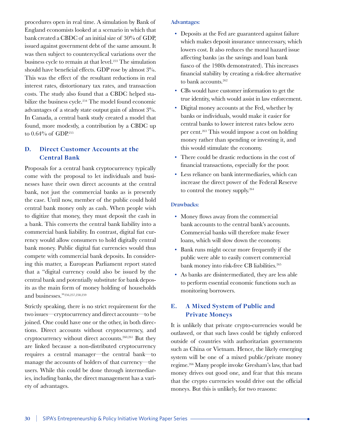procedures open in real time. A simulation by Bank of England economists looked at a scenario in which that bank created a CBDC of an initial size of 30% of GDP, issued against government debt of the same amount. It was then subject to countercyclical variations over the business cycle to remain at that level.<sup>253</sup> The simulation should have beneficial effects. GDP rose by almost 3%. This was the effect of the resultant reductions in real interest rates, distortionary tax rates, and transaction costs. The study also found that a CBDC helped stabilize the business cycle.<sup>254</sup> The model found economic advantages of a steady state output gain of almost 3%. In Canada, a central bank study created a model that found, more modestly, a contribution by a CBDC up to 0.64% of GDP.255

#### **D. Direct Customer Accounts at the Central Bank**

Proposals for a central bank cryptocurrency typically come with the proposal to let individuals and businesses have their own direct accounts at the central bank, not just the commercial banks as is presently the case. Until now, member of the public could hold central bank money only as cash. When people wish to digitize that money, they must deposit the cash in a bank. This converts the central bank liability into a commercial bank liability. In contrast, digital fiat currency would allow consumers to hold digitally central bank money. Public digital fiat currencies would thus compete with commercial bank deposits. In considering this matter, a European Parliament report stated that a "digital currency could also be issued by the central bank and potentially substitute for bank deposits as the main form of money holding of households and businesses."256,257,258,259

Strictly speaking, there is no strict requirement for the two issues—cryptocurrency and direct accounts—to be joined. One could have one or the other, in both directions. Direct accounts without cryptocurrency, and cryptocurrency without direct accounts.260,261 But they are linked because a non-distributed cryptocurrency requires a central manager—the central bank—to manage the accounts of holders of that currency—the users. While this could be done through intermediaries, including banks, the direct management has a variety of advantages.

#### **Advantages:**

- Deposits at the Fed are guaranteed against failure which makes deposit insurance unnecessary, which lowers cost. It also reduces the moral hazard issue affecting banks (as the savings and loan bank fiasco of the 1980s demonstrated). This increases financial stability by creating a risk-free alternative to bank accounts.<sup>262</sup>
- CBs would have customer information to get the true identity, which would assist in law enforcement.
- Digital money accounts at the Fed, whether by banks or individuals, would make it easier for central banks to lower interest rates below zero per cent.263 This would impose a cost on holding money rather than spending or investing it, and this would stimulate the economy.
- There could be drastic reductions in the cost of financial transactions, especially for the poor.
- Less reliance on bank intermediaries, which can increase the direct power of the Federal Reserve to control the money supply.<sup>264</sup>

#### **Drawbacks:**

- Money flows away from the commercial bank accounts to the central bank's accounts. Commercial banks will therefore make fewer loans, which will slow down the economy.
- Bank runs might occur more frequently if the public were able to easily convert commercial bank money into risk-free CB liabilities.<sup>265</sup>
- As banks are disintermediated, they are less able to perform essential economic functions such as monitoring borrowers.

#### **E. A Mixed System of Public and Private Moneys**

It is unlikely that private crypto-currencies would be outlawed, or that such laws could be tightly enforced outside of countries with authoritarian governments such as China or Vietnam. Hence, the likely emerging system will be one of a mixed public/private money regime.266 Many people invoke Gresham's law, that bad money drives out good one, and fear that this means that the crypto currencies would drive out the official moneys. But this is unlikely, for two reasons: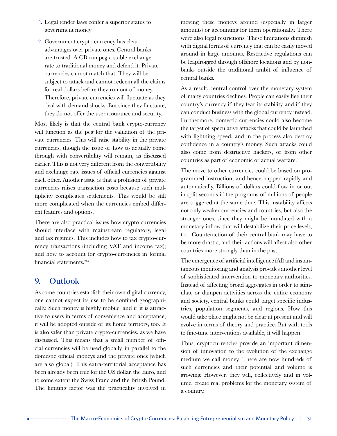- 1. Legal tender laws confer a superior status to government money
- 2. Government crypto currency has clear advantages over private ones. Central banks are trusted. A CB can peg a stable exchange rate to traditional money and defend it. Private currencies cannot match that. They will be subject to attack and cannot redeem all the claims for real dollars before they run out of money. Therefore, private currencies will fluctuate as they deal with demand shocks. But since they fluctuate, they do not offer the user assurance and security.

Most likely is that the central bank crypto-currency will function as the peg for the valuation of the private currencies. This will raise stability in the private currencies, though the issue of how to actually come through with convertibility will remain, as discussed earlier. This is not very different from the convertibility and exchange rate issues of official currencies against each other. Another issue is that a profusion of private currencies raises transaction costs because such multiplicity complicates settlements. This would be still more complicated when the currencies embed different features and options.

There are also practical issues how crypto-currencies should interface with mainstream regulatory, legal and tax regimes. This includes how to tax crypto-currency transactions (including VAT and income tax); and how to account for crypto-currencies in formal financial statements.<sup>267</sup>

## **9. Outlook**

As some countries establish their own digital currency, one cannot expect its use to be confined geographically. Such money is highly mobile, and if it is attractive to users in terms of convenience and acceptance, it will be adopted outside of its home territory, too. It is also safer than private crypto-currencies, as we have discussed. This means that a small number of official currencies will be used globally, in parallel to the domestic official moneys and the private ones (which are also global). This extra-territorial acceptance has been already been true for the US dollar, the Euro, and to some extent the Swiss Franc and the British Pound. The limiting factor was the practicality involved in moving these moneys around (especially in larger amounts) or accounting for them operationally. There were also legal restrictions. These limitations diminish with digital forms of currency that can be easily moved around in large amounts. Restrictive regulations can be leapfrogged through offshore locations and by nonbanks outside the traditional ambit of influence of central banks.

As a result, central control over the monetary system of many countries declines. People can easily flee their country's currency if they fear its stability and if they can conduct business with the global currency instead. Furthermore, domestic currencies could also become the target of speculative attacks that could be launched with lightning speed, and in the process also destroy confidence in a country's money. Such attacks could also come from destructive hackers, or from other countries as part of economic or actual warfare.

The move to other currencies could be based on programmed instruction, and hence happen rapidly and automatically. Billions of dollars could flow in or out in split seconds if the programs of millions of people are triggered at the same time. This instability affects not only weaker currencies and countries, but also the stronger ones, since they might be inundated with a monetary inflow that will destabilize their price levels, too. Counteraction of their central bank may have to be more drastic, and their actions will affect also other countries more strongly than in the past.

The emergence of artificial intelligence (AI) and instantaneous monitoring and analysis provides another level of sophisticated intervention to monetary authorities. Instead of affecting broad aggregates in order to stimulate or dampen activities across the entire economy and society, central banks could target specific industries, population segments, and regions. How this would take place might not be clear at present and will evolve in terms of theory and practice. But with tools to fine-tune interventions available, it will happen.

Thus, cryptocurrencies provide an important dimension of innovation to the evolution of the exchange medium we call money. There are now hundreds of such currencies and their potential and volume is growing. However, they will, collectively and in volume, create real problems for the monetary system of a country.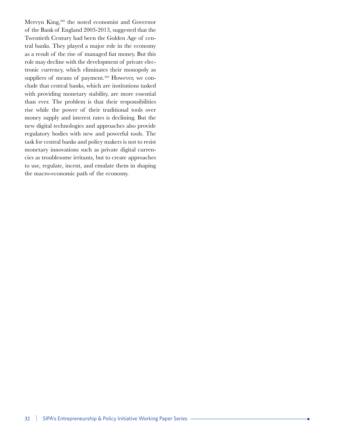Mervyn King,<sup>268</sup> the noted economist and Governor of the Bank of England 2003-2013, suggested that the Twentieth Century had been the Golden Age of central banks. They played a major role in the economy as a result of the rise of managed fiat money. But this role may decline with the development of private electronic currency, which eliminates their monopoly as suppliers of means of payment.<sup>269</sup> However, we conclude that central banks, which are institutions tasked with providing monetary stability, are more essential than ever. The problem is that their responsibilities rise while the power of their traditional tools over money supply and interest rates is declining. But the new digital technologies and approaches also provide regulatory bodies with new and powerful tools. The task for central banks and policy makers is not to resist monetary innovations such as private digital currencies as troublesome irritants, but to create approaches to use, regulate, incent, and emulate them in shaping the macro-economic path of the economy.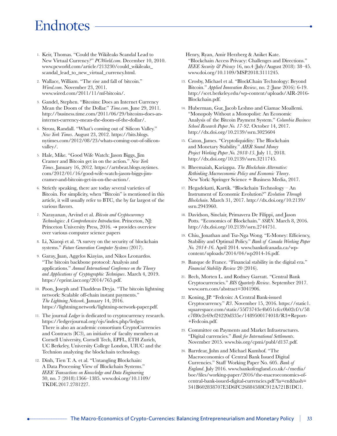## **Endnotes**

- 1. Keir, Thomas. "Could the Wikileaks Scandal Lead to New Virtual Currency?" *PCWorld.com*. December 10, 2010. www.pcworld.com/article/213230/could\_wikileaks\_ scandal\_lead\_to\_new\_virtual\_currency.html.
- 2. Wallace, William. "The rise and fall of bitcoin." *Wired.com*. November 23, 2011. www.wired.com/2011/11/mf-bitcoin/.
- 3. Gandel, Stephen. "Bitcoins: Does an Internet Currency Mean the Doom of the Dollar." *Time.com*. June 29, 2011. http://business.time.com/2011/06/29/bitcoins-does-aninternet-currency-mean-the-doom-of-the-dollar/.
- 4. Stross, Randall. "What's coming out of Silicon Valley." *New York Times*. August 23, 2012. https://bits.blogs. nytimes.com/2012/08/23/whats-coming-out-of-siliconvalley/.
- 5. Hale, Mike. "Good Wife Watch: Jason Biggs, Jim Cramer and Bitcoin get in on the action." *New York Times*. January 16, 2012. https://artsbeat.blogs.nytimes. com/2012/01/16/good-wife-watch-jason-biggs-jimcramer-and-bitcoin-get-in-on-the-action/.
- 6. Strictly speaking, there are today several varieties of Bitcoin. For simplicity, when "Bitcoin" is mentioned in this article, it will usually refer to BTC, the by far largest of the various flavors.
- 7. Narayanan, Arvind et al. *Bitcoin and Cryptocurrency Technologies: A Comprehensive Introduction*. Princeton, NJ: Princeton University Press, 2016.  $\rightarrow$  provides overview over various computer science papers
- 8. Li, Xiaoqi et al. "A survey on the security of blockchain systems." *Future Generation Computer Systems* (2017).
- 9. Garay, Juan, Aggelos Kiayias, and Nikos Leonardos. "The bitcoin backbone protocol: Analysis and applications." *Annual International Conference on the Theory and Applications of Cryptographic Techniques*. March 4, 2019. https://eprint.iacr.org/2014/765.pdf.
- 10. Poon, Joseph and Thaddeus Dryja. "The bitcoin lightning network: Scalable off-chain instant payments." *The Lightning Network*. January 14, 2016. https://lightning.network/lightning-network-paper.pdf.
- 11. The journal *Ledger* is dedicated to cryptocurrency research. https://ledgerjournal.org/ojs/index.php/ledger. There is also an academic consortium CryptoCurrencies and Contracts (IC3), an initiative of faculty members at Cornell University, Cornell Tech, EPFL, ETH Zurich, UC Berkeley, University College London, UIUC and the Technion analyzing the blockchain technology.
- 12. Dinh, Tien T. A. et al. "Untangling Blockchain: A Data Processing View of Blockchain Systems." *IEEE Transactions on Knowledge and Data Engineering*  30, no. 7 (2018):1366–1385. www.doi.org/10.1109/ TKDE.2017.2781227.
- Henry, Ryan, Amir Herzberg & Aniket Kate. "Blockchain Access Privacy: Challenges and Directions." *IEEE Security & Privacy* 16, no.4 (July/August 2018): 38–45. www.doi.org/10.1109/MSP.2018.3111245.
- 13. Crosby, Michael et al. "BlockChain Technology: Beyond Bitcoin." *Applied Innovation Review*, no. 2 (June 2016): 6-19. http://scet.berkeley.edu/wp-content/uploads/AIR-2016- Blockchain.pdf.
- 14. Huberman, Gur, Jacob Leshno and Ciamac Moallemi. "Monopoly Without a Monopolist: An Economic Analysis of the Bitcoin Payment System." *Columbia Business School Research Paper No. 17-92*. October 14, 2017. http://dx.doi.org/10.2139/ssrn.3025604
- 15. Caton, James. "Cryptoliquidity: The Blockchain and Monetary Stability." *AIER Sound Money Project Working Paper No. 2018-15*. July 11, 2018. http://dx.doi.org/10.2139/ssrn.3211745.
- 16. Bheemaiah, Kariappa. *The Blockchain Alternative: Rethinking Macroeconomic Policy and Economic Theory*. New York: Springer Science + Business Media, 2017.
- 17. Hegadekatti, Kartik. "Blockchain Technology An Instrument of Economic Evolution?" *Evolution Through Blockchain*. March 31, 2017. http://dx.doi.org/10.2139/ ssrn.2943960.
- 18. Davidson, Sinclair, Primavera De Filippi, and Jason Potts. "Economics of Blockchain." *SSRN*. March 8, 2016. http://dx.doi.org/10.2139/ssrn.2744751.
- 19. Chiu, Jonathan and Tsz-Nga Wong. "E-Money: Efficiency, Stability and Optimal Policy." *Bank of Canada Working Paper No. 2014-16*. April 2014. www.bankofcanada.ca/wpcontent/uploads/2014/04/wp2014-16.pdf.
- 20. Banque de France. "Financial stability in the digital era." *Financial Stability Review* 20 (2016).
- 21. Bech, Morten L. and Rodney Garratt. "Central Bank Cryptocurrencies." *BIS Quarterly Review*. September 2017. www.ssrn.com/abstract=3041906.
- 22. Koning, JP. "Fedcoin: A Central Bank-issued Cryptocurrency." *R3*. November 15, 2016. https://static1. squarespace.com/static/55f73743e4b051cfcc0b02cf/t/58 c7f80c2e69cf24220d335e/1489500174018/R3+Report- +Fedcoin.pdf.
- 23. Committee on Payments and Market Infrastructures. "Digital currencies." *Bank for International Settlements*. November 2015. www.bis.org/cpmi/publ/d137.pdf.
- 24. Barrdear, John and Michael Kumhof. "The Macroeconomics of Central Bank Issued Digital Currencies." Staff Working Paper No. 605. *Bank of England*. July 2016. www.bankofengland.co.uk/-/media/ boe/files/working-paper/2016/the-macroeconomics-ofcentral-bank-issued-digital-currencies.pdf ?la=en&hash= 341B602838707E5D6FC26884588C912A721B1DC1.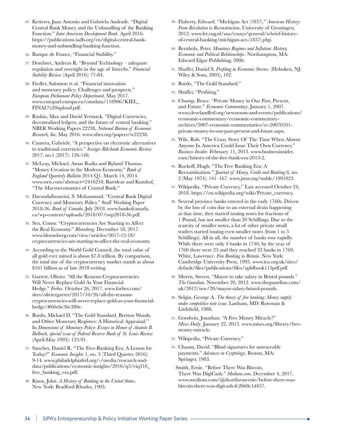- 25. Ketterer, Juan Antonio and Gabriela Andrade. "Digital Central Bank Money and the Unbundling of the Banking Function." *Inter-American Development Bank*. April 2016. https://publications.iadb.org/en/digital-central-bankmoney-and-unbundling-banking-function.
- 26. Banque de France, "Financial Stability."
- 27. Dombret, Andreas R. "Beyond Technology adequate regulation and oversight in the age of fintechs." *Financial Stability Review* (April 2016): 77-84.
- 28. Fiedler, Salomon et al. "Financial innovation and monetary policy: Challenges and prospects." *European Parliament Policy Department*. May 2017. www.europarl.europa.eu/cmsdata/118906/KIEL\_ FINAL%20upload.pdf.
- 29. Raskin, Max and David Yermack. "Digital Currencies, decentralized ledgers, and the future of central banking." NBER Working Papers 22238, *National Bureau of Economic Research, Inc.* May 2016. www.nber.org/papers/w22238.
- 30. Camera, Gabriele. "A perspective on electronic alternatives to traditional currencies." *Sveriges Riksbank Economic Review*  2017, no.1 (2017): 126-148.
- 31. McLeay, Michael, Amar Radia and Ryland Thomas. "Money Creation in the Modern Economy." *Bank of England Quarterly Bulletin* 2014 Q1. March 14, 2014. www.ssrn.com/abstract=2416234; Barrdear and Kumhof, "The Macroeconomics of Central Bank."
- 32. Davoodalhosseini, S. Mohammad. "Central Bank Digital Currency and Monetary Policy." Staff Working Paper 2018-36. *Bank of Canada*. July 2018. www.bankofcanada. ca/wp-content/uploads/2018/07/swp2018-36.pdf.
- 33. Sen, Conor. "Cryptocurrencies Are Starting to Affect the Real Economy." *Bloomberg*. December 18, 2017. www.bloomberg.com/view/articles/2017-12-18/ cryptocurrencies-are-starting-to-affect-the-real-economy.
- 34. According to the World Gold Council, the total value of all gold ever mined is about \$7.8 trillion. By comparison, the total size of the cryptocurrency market stands at about \$161 billion as of late 2018 writing.
- 35. Garrett, Olivier. "All the Reasons Cryptocurrencies Will Never Replace Gold As Your Financial Hedge." *Forbes*. October 26, 2017. www.forbes.com/ sites/oliviergarret/2017/10/26/all-the-reasonscryptocurrencies-will-never-replace-gold-as-your-financialhedge/#66e6e36c380e.
- 36. Bordo, Michael D. "The Gold Standard, Bretton Woods, and Other Monetary Regimes: A Historical Appraisal." In *Dimensions of Monetary Policy: Essays in Honor of Anatole B. Balbach, special issue of Federal Reserve Bank of St. Louis Review*  (April-May 1993): 123-91.
- 37. Sanches, Daniel R. "The Free-Banking Era: A Lesson for Today?" *Economic Insights* 1, no. 3 (Third Quarter 2016): 9-14. www.philadelphiafed.org/-/media/research-anddata/publications/economic-insights/2016/q3/eiq316\_ free\_banking\_era.pdf.
- 38. Knox, John. *A History of Banking in the United States*. New York: Bradford Rhodes, 1903.
- 39. Flaherty, Edward. "Michigan Act (1837)." *American History: From Revolution to Reconstruction*, University of Groningen. 2012. www.let.rug.nl/usa/essays/general/a-brief-historyof-central-banking/michigan-act-(1837).php.
- 40. Bernholz, Peter. *Monetary Regimes and Inflation: History, Economic and Political Relationships*. Northampton, MA: Edward Elgar Publishing, 2006.
- 41. Shaffer, Daniel S. *Profiting in Economic Storms*. (Hoboken, NJ: Wiley & Sons, 2005), 102.
- 42. Bordo, "The Gold Standard."
- 43. Shaffer, "Profiting."
- 44. Champ, Bruce. "Private Money in Our Past, Present, and Future." *Economic Commentary*. January 1, 2007. www.clevelandfed.org/newsroom-and-events/publications/ economic-commentary/economic-commentaryarchives/2007-economic-commentaries/ec-20070101 private-money-in-our-past-present-and-future.aspx.
- 45. Wile, Rob. "The Crazy Story Of The Time When Almost Anyone In America Could Issue Their Own Currency." *Business Insider*. February 11, 2013. www.businessinsider. com/history-of-the-free-bank-era-2013-2.
- 46. Rockoff, Hugh. "The Free Banking Era: A Reexamination." *Journal of Money, Credit and Banking* 6, no. 2 (May 1974): 141–167. www.jstor.org/stable/1991023.
- 47. Wikipedia. "Private Currency." Last accessed October 24, 2018. https://en.wikipedia.org/wiki/Private\_currency.
- 48. Several province banks entered in the early 1760s. Driven by the loss of coin due to an external drain happening at that time, they started issuing notes for fractions of 1 Pound, but not smaller than 20 Schillings. Due to the scarcity of smaller notes, a lot of other private small traders started issuing even smaller notes (from 1 to 5 Schillings). All in all, the number of banks rose rapidly. While there were only 4 banks in 1740, by the year of 1760 there were 23 and they reached 32 banks in 1769. White, Lawrence. *Free Banking in Britain*. New York: Cambridge University Press, 1995. www.iea.org.uk/sites/ default/files/publications/files/upldbook115pdf.pdf.
- 49. Morris, Steven. "Mayor to take salary in Bristol pounds." *The Guardian*. November 20, 2012. www.theguardian.com/ uk/2012/nov/20/mayor-salary-bristol-pounds.
- 50. Selgin, George A. *The theory of free banking: Money supply under competitive note issue*. Lanham, MD: Rowman & Littlefield, 1988.
- 51. Goodwin, Jonathan. "A Free Money Miracle?" *Mises Daily*. January 22, 2013. www.mises.org/library/freemoney-miracle.
- 52. Wikipedia, "Private Currency."
- 53. Chaum, David. "Blind signatures for untraceable payments." *Advances in Cryptology*. Boston, MA: Springer, 1983.
- Smith, Ernie. "Before There Was Bitcoin, There Was DigiCash." *Medium.com*. December 4, 2017. www.medium.com/@shortformernie/before-there-wasbitcoin-there-was-digicash-fc2668c1d457.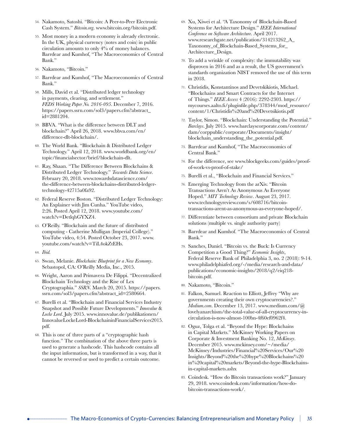- 54. Nakamoto, Satoshi. "Bitcoin: A Peer-to-Peer Electronic Cash System." *Bitcoin.org*. www.bitcoin.org/bitcoin.pdf.
- 55. Most money in a modern economy is already electronic. In the UK, physical currency (notes and coin) in public circulation amounts to only 4% of money balances. Barrdear and Kumhof, "The Macroeconomics of Central Bank."
- 56. Nakamoto, "Bitcoin."
- 57. Barrdear and Kumhof, "The Macroeconomics of Central Bank."
- 58. Mills, David et al. "Distributed ledger technology in payments, clearing, and settlement." *FEDS Working Paper No. 2016-095*. December 7, 2016. https://papers.ssrn.com/sol3/papers.cfm?abstract\_ id=2881204.
- 59. BBVA. "What is the difference between DLT and blockchain?" April 26, 2018. www.bbva.com/en/ difference-dlt-blockchain/.
- 60. The World Bank. "Blockchain & Distributed Ledger Technology." April 12, 2018. www.worldbank.org/en/ topic/financialsector/brief/blockchain-dlt.
- 61. Ray, Shaan. "The Difference Between Blockchains & Distributed Ledger Technology." *Towards Data Science*. February 20, 2018. www.towardsdatascience.com/ the-difference-between-blockchains-distributed-ledgertechnology-42715a0fa92.
- 62. Federal Reserve Boston. "Distributed Ledger Technology: An Explainer with Jim Cunha." YouTube video, 2:26. Posted April 12, 2018. www.youtube.com/ watch?v=DetlqhGYXZ4.
- 63. O'Reilly. "Blockchain and the future of distributed computing - Catherine Mulligan (Imperial College)." YouTube video, 4:54. Posted October 23, 2017. www. youtube.com/watch?v=TiL4okZtEHs.
- 64. *Ibid.*
- 65. Swan, Melanie. *Blockchain: Blueprint for a New Economy*. Sebastopol, CA: O'Reilly Media, Inc., 2015.
- 66. Wright, Aaron and Primavera De Filippi. "Decentralized Blockchain Technology and the Rise of Lex Cryptographia." *SSRN*. March 20, 2015. https://papers. ssrn.com/sol3/papers.cfm?abstract\_id=2580664.
- 67. Burelli et al. "Blockchain and Financial Services Industry Snapshot and Possible Future Developments." *Innovalue* & *Locke Lord*. July 2015. www.innovalue.de/publikationen/ InnovalueLockeLord-BlockchaininFinancialServices2015. pdf.
- 68. This is one of three parts of a "cryptographic hash function." The combination of the above three parts is used to generate a hashcode. This hashcode contains all the input information, but is transformed in a way, that it cannot be reversed or used to predict a certain outcome.
- 69. Xu, Xiwei et al. "A Taxonomy of Blockchain-Based Systems for Architecture Design." *IEEE International Conference on Software Architecture*. April 2017. www.researchgate.net/publication/314213262\_A\_ Taxonomy\_of\_Blockchain-Based\_Systems\_for\_ Architecture\_Design.
- 70. To add a wrinkle of complexity: the immutability was disproven in 2016 and as a result, the US government's standards organization NIST removed the use of this term in 2018.
- 71. Christidis, Konstantinos and Devetskikiotis, Michael. "Blockchains and Smart Contracts for the Internet of Things." *IEEE Access* 4 (2016): 2292-2303. https:// mycourses.aalto.fi/pluginfile.php/378344/mod\_resource/ content/1/Christidis%20and%20Devetsikiotis.pdf
- 72. Taylor, Simon. "Blockchain: Understanding the Potential." *Barclays*. July 2015. www.barclayscorporate.com/content/ dam/corppublic/corporate/Documents/insight/ blockchain\_understanding\_the\_potential.pdf.
- 73. Barrdear and Kumhof, "The Macroeconomics of Central Bank."
- 74. For the difference, see www.blockgeeks.com/guides/proofof-work-vs-proof-of-stake/
- 75. Burelli et al., "Blockchain and Financial Services."
- 76. Emerging Technology from the arXiv. "Bitcoin Transactions Aren't As Anonymous As Everyone Hoped." *MIT Technology Review*. August 23, 2017. www.technologyreview.com/s/608716/bitcointransactions-arent-as-anonymous-as-everyone-hoped/.
- 77. Differentiate between consortium and private Blockchain solutions (multiple vs. single authority party)
- 78. Barrdear and Kumhof. "The Macroeconomics of Central Bank."
- 79. Sanches, Daniel. "Bitcoin vs. the Buck: Is Currency Competition a Good Thing?" *Economic Insights*, Federal Reserve Bank of Philadelphia 3, no. 2 (2018): 9-14. www.philadelphiafed.org/-/media/research-and-data/ publications/economic-insights/2018/q2/eiq218 bitcoin.pdf.
- 80. Nakamoto, "Bitcoin."
- 81. Falkon, Samuel. Reaction to Elliott, Jeffrey "Why are governments creating their own cryptocurrencies?." *Medium.com*. December 13, 2017. www.medium.com/@ lovelyanarchism/the-total-value-of-all-cryptocurrency-incirculation-is-now-almost-100bn-4f60ef0962f4.
- 82. Oguz, Tolga et al. "Beyond the Hype: Blockchains in Capital Markets." McKinsey Working Papers on Corporate & Investment Banking No. 12, *McKinsey*. December 2015. www.mckinsey.com/~/media/ McKinsey/Industries/Financial%20Services/Our%20 Insights/Beyond%20the%20hype%20Blockchains%20 in%20capital%20markets/Beyond-the-hype-Blockchainsin-capital-markets.ashx
- 83. Coindesk. "How do Bitcoin transactions work?" January 29, 2018. www.coindesk.com/information/how-dobitcoin-transactions-work/.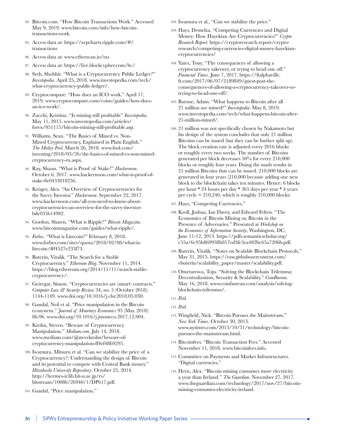- 84. Bitcoin.com. "How Bitcoin Transactions Work." Accessed May 9, 2019. www.bitcoin.com/info/how-bitcointransactions-work.
- 85. Access data at: https://xrpcharts.ripple.com/#/ transactions
- 86. Access data at: www.etherscan.io/txs
- 87. Access data at: https://live.blockcypher.com/ltc/
- 88. Seth, Shobhit. "What is a Cryptocurrency Public Ledger?" *Investopedia*. April 25, 2018. www.investopedia.com/tech/ what-cryptocurrency-public-ledger/.
- 89. Cryptocompare. "How does an ICO work." April 17, 2019. www.cryptocompare.com/coins/guides/how-doesan-ico-work/.
- 90. Zucchi, Kristina. "Is mining still profitable" *Investopedia*. May 11, 2015. www.investopedia.com/articles/ forex/051115/bitcoin-mining-still-profitable.asp.
- 91. Williams, Sean. "The Basics of Mined vs. Non-Mined Cryptocurrency, Explained in Plain English." *The Motley Fool*. March 26, 2018. www.fool.com/ investing/2018/03/26/the-basics-of-mined-vs-non-minedcryptocurrency-ex.aspx.
- 92. Ray, Shaan. "What is Proof of Stake?" *Hackernoon*. October 6, 2017. www.hackernoon.com/what-is-proof-ofstake-8e0433018256.
- 93. Krüger, Alex. "An Overview of Cryptocurrencies for the Savvy Investor." *Hackernoon*. September 22, 2017. www.hackernoon.com/all-you-need-to-know-aboutcryptocurrencies-an-overview-for-the-savvy-investorbdc035b14982.
- 94. Gordon, Shawn. "What is Ripple?" *Bitcoin Magazine*. www.bitcoinmagazine.com/guides/what-ripple/.
- 95. *Forbes*. "What is Litecoin?" February 8, 2018. www.forbes.com/sites/quora/2018/02/08/what-islitecoin/#f4527e233f73.
- 96. Buterin, Vitalik. "The Search for a Stable Cryptocurrency." *Ethereum Blog*. November 11, 2014. https://blog.ethereum.org/2014/11/11/search-stablecryptocurrency/.
- 97. Geiregat, Simon. "Cryptocurrencies are (smart) contracts." *Computer Law & Security Review* 34, no. 5 (October 2018): 1144-1149. www.doi.org/10.1016/j.clsr.2018.05.030.
- 98. Gandal, Neil et al. "Price manipulation in the Bitcoin ecosystem." *Journal of Monetary Economics* 95 (May 2018): 86-96. www.doi.org/10.1016/j.jmoneco.2017.12.004.
- 99. Krohn, Steven. "Beware of Cryptocurrency Manipulation." *Medium.com*. July 14, 2018. www.medium.com/@stevekrohn/beware-ofcryptocurrency-manipulation-ff4ef48b9295.
- 100. Iwamura, Mitsuru et al. "Can we stabilize the price of a Cryptocurrency?: Understanding the design of Bitcoin and its potential to compete with Central Bank money." *Hitsubashi University Repository*. October 25, 2014. http://hermes-ir.lib.hit-u.ac.jp/rs/ bitstream/10086/26940/1/DP617.pdf.
- 101. Gandal, "Price manipulation."
- 102. Iwamura et al., "Can we stabilize the price."
- 103. Hays, Demelza. "Competing Currencies and Digital Money: How Hayekian Are Cryptocurrencies?" *Crypto Research Report*. https://cryptoresearch.report/cryptoresearch/competing-currencies-digital-money-hayekiancryptocurrencies/
- 104. Yates, Tony. "The consequences of allowing a cryptocurrency takeover, or trying to head one off." *Financial Times*. June 7, 2017. https://ftalphaville. ft.com/2017/06/07/2189849/guest-post-theconsequences-of-allowing-a-cryptocurrency-takeover-ortrying-to-head-one-off/.
- 105. Barone, Adam. "What happens to Bitcoin after all 21 million are mined?" *Investopedia*. May 8, 2019. www.investopedia.com/tech/what-happens-bitcoin-after-21-million-mined/.
- 106. 21 million was not specifically chosen by Nakamoto but his design of the system concludes that only 21 million Bitcoins can be issued (but they can be further split up). The block creation rate is adjusted every 2016 blocks or roughly every two weeks. The number of Bitcoins generated per block decreases 50% for every 210,000 blocks or roughly four years. Doing the math results in 21 million Bitcoins that can be issued. 210,000 blocks are generated in four years (210,000 because adding one new block to the blockchain takes ten minutes. Hence: 6 blocks per hour \* 24 hours per day \* 365 days per year \* 4 years per cycle  $= 210,240$ , which is roughly 210,000 blocks)
- 107. Hays, "Competing Currencies."
- 108. Kroll, Joshua, Ian Davey, and Edward Felten. "The Economics of Bitcoin Mining or, Bitcoin in the Presence of Adversaries." Presented at *Workshop on the Economics of Information Security*, Washington, DC, June 11-12, 2013. https://pdfs.semanticscholar.org/ c55a/6c95b869938b817ed3fe3ea482bc65a7206b.pdf.
- 109. Buterin, Vitalik. "Notes on Scalable Blockchain Protocols." May 31, 2015. https://raw.githubusercontent.com/ vbuterin/scalability\_paper/master/scalability.pdf.
- 110. Ometurowa, Toju. "Solving the Blockchain Trilemma: Decentralization, Security & Scalability." *CoinBureau*. May 16, 2018. www.coinbureau.com/analysis/solvingblockchain-trilemma/.
- 111. *Ibid.*

- 113. Wingfield, Nick. "Bitcoin Pursues the Mainstream." *New York Times*. October 30, 2013. www.nytimes.com/2013/10/31/technology/bitcoinpursues-the-mainstream.html.
- 114. Bitcoinfees. "Bitcoin Transaction Fees." Accessed November 11, 2018. www.bitcoinfees.info.
- 115. Committee on Payments and Market Infrastructures. "Digital currencies."
- 116. Hern, Alex. "Bitcoin mining consumes more electricity a year than Ireland." *The Guardian*. November 27, 2017. www.theguardian.com/technology/2017/nov/27/bitcoinmining-consumes-electricity-ireland.

<sup>112.</sup> *Ibid.*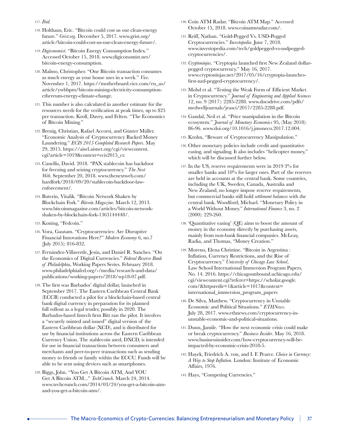- 117. *Ibid.*
- 118. Holthaus, Eric. "Bitcoin could cost us our clean-energy future." *Grist.org*. December 5, 2017. www.grist.org/ article/bitcoin-could-cost-us-our-clean-energy-future/.
- 119. *Digiconomist*. "Bitcoin Energy Consumption Index." Accessed October 15, 2018. www.digiconomist.net/ bitcoin-energy-consumption.
- 120. Malmo, Christopher. "One Bitcoin transaction consumes as much energy as your house uses in a week." *Vice*. November 1, 2017. https://motherboard.vice.com/en\_us/ article/ywbbpm/bitcoin-mining-electricity-consumptionethereum-energy-climate-change.
- 121. This number is also calculated in another estimate for the resources needs for the verification at peak times, up to \$25 per transaction. Kroll, Davey, and Felten. "The Economics of Bitcoin Mining."
- 122. Brenig, Christian, Rafael Accorsi, and Günter Müller. "Economic Analysis of Cryptocurrency Backed Money Laundering." *ECIS 2015 Completed Research Papers*. May 29, 2015. https://aisel.aisnet.org/cgi/viewcontent. cgi?article=1019&context=ecis2015\_cr.
- 123. Canellis, David. 2018. "PAX stablecoin has backdoor for freezing and seizing cryptocurrency." *The Next Web*. September 20, 2018. www.thenextweb.com/ hardfork/2018/09/20/stablecoin-backdoor-lawenforcement/.
- 124. Buterin, Vitalik. "Bitcoin Network Shaken by Blockchain Fork." *Bitcoin Magazine*. March 12, 2013. www.bitcoinmagazine.com/articles/bitcoin-networkshaken-by-blockchain-fork-1363144448/.
- 125. Koning, "Fedcoin."
- 126. Vora, Gautam. "Cryptocurrencies: Are Disruptive Financial Innovations Here?" *Modern Economy* 6, no.7 (July 2015): 816-832.
- 127. Fernández-Villaverde, Jesús, and Daniel R. Sanches. "On the Economics of Digital Currencies." *Federal Reserve Bank of Philadelphia*, Working Papers Series. February 2018. www.philadelphiafed.org/-/media/research-and-data/ publications/working-papers/2018/wp18-07.pdf.
- 128. The first was Barbados' digital dollar, launched in September 2017. The Eastern Caribbean Central Bank (ECCB) conducted a pilot for a blockchain-based central bank digital currency in preparation for its planned full rollout as a legal tender, possibly in 2020. The Barbados-based fintech firm Bitt ran the pilot. It involves a "securely minted and issued" digital version of the Eastern Caribbean dollar (XCD), and is distributed for use by financial institutions across the Eastern Caribbean Currency Union. The stablecoin used, DXCD, is intended for use in financial transactions between consumers and merchants and peer-to-peer transactions such as sending money to friends or family within the ECCU. Funds will be able to be sent using devices such as smartphones.
- 129. Biggs, John. "You Get A Bitcoin ATM, And YOU Get A Bitcoin ATM..." *TechCrunch*. March 24, 2014. www.techcrunch.com/2014/03/24/you-get-a-bitcoin-atmand-you-get-a-bitcoin-atm/.
- 130. Coin ATM Radar. "Bitcoin ATM Map." Accessed October 15, 2018. www.coinatmradar.com/.
- 131. Reiff, Nathan. "Gold-Pegged Vs. USD-Pegged Cryptocurrencies." *Investopedia*. June 7, 2018. www.investopedia.com/tech/goldpegged-vs-usdpeggedcryptocurrencies/.
- 132. *Cryptoninjas*. "Cryptopia launched first New Zealand dollarpegged cryptocurrency." May 16, 2017. www.cryptoninjas.net/2017/05/16/cryptopia-launchesfirst-nzd-pegged-cryptocurrency/.
- 133. Mohd et al. "Testing the Weak Form of Efficient Market in Cryptocurrency." *Journal of Engineering and Applied Sciences*  12, no. 9 (2017): 2285-2288. www.docsdrive.com/pdfs/ medwelljournals/jeasci/2017/2285-2288.pdf.
- 134. Gandal, Neil et al. "Price manipulation in the Bitcoin ecosystem." *Journal of Monetary Economics* 95, (May 2018): 86-96. www.doi.org/10.1016/j.jmoneco.2017.12.004.
- 135. Krohn, "Beware of Cryptocurrency Manipulation."
- 136. Other monetary policies include credit and quantitative easing, and signaling. It also includes "helicopter money," which will be discussed further below.
- 137. In the US, reserve requirements were in 2019 3% for smaller banks and 10% for larger ones. Part of the reserves are held in accounts at the central bank. Some countries, including the UK, Sweden, Canada, Australia and New Zealand, no longer impose reserve requirements, but commercial banks still hold *settlement balances* with the central bank. Woodford, Michael. "Monetary Policy in a World Without Money." *International Finance* 3, no. 2 (2000): 229-260.
- 138. 'Quantitative easing' (QE) aims to boost the amount of money in the economy directly by purchasing assets, mainly from non-bank financial companies. McLeay, Radia, and Thomas, "Money Creation."
- 139. Moreno, Elena Christine. "Bitcoin in Argentina : Inflation, Currency Restrictions, and the Rise of Cryptocurrency." *University of Chicago Law School*, Law School International Immersion Program Papers, No. 14. 2016. https://chicagounbound.uchicago.edu/ cgi/viewcontent.cgi?referer=https://scholar.google. com/&httpsredir=1&article=1017&context= international\_immersion\_program\_papers
- 140. De Silva, Matthew. "Cryptocurrency in Unstable Economic and Political Situations." *ETHNews*. July 28, 2017. www.ethnews.com/cryptocurrency-inunstable-economic-and-political-situations.
- 141. Dunn, Jamile. "How the next economic crisis could make or break cryptocurrency." *Business Insider*. May 16, 2018. www.businessinsider.com/how-cryptocurrency-will-beimpacted-by-economic-crisis-2018-5.
- 142. Hayek, Friedrich A. von, and I. F. Pearce. *Choice in Currency: A Way to Stop Inflation*. London: Institute of Economic Affairs, 1976.
- 143. Hays, "Competing Currencies."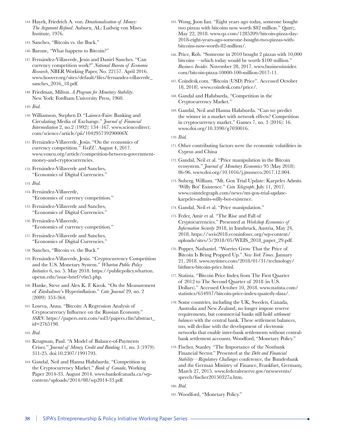- 144. Hayek, Friedrich A. von. *Denationalisation of Money: The Argument Refined*. Auburn, AL: Ludwig von Mises Institute, 1976.
- 145. Sanches, "Bitcoin vs. the Buck."
- 146. Barone, "What happens to Bitcoin?"
- 147. Fernández-Villaverde, Jesús and Daniel Sanches. "Can currency competition work?" *National Bureau of Economic Research*, NBER Working Paper, No. 22157. April 2016. www.hoover.org/sites/default/files/fernandez-villaverde\_ sanches\_2016\_18.pdf.
- 148. Friedman, Milton. *A Program for Monetary Stability*. New York: Fordham University Press, 1960.
- 149. *Ibid.*
- 150. Williamson, Stephen D. "Laissez-Faire Banking and Circulating Media of Exchange." *Journal of Financial Intermediation* 2, no.2 (1992): 134–167. www.sciencedirect. com/science/article/pii/104295739290006Y.
- 151. Fernández-Villaverde, Jesús. "On the economics of currency competition." *VoxEU*. August 4, 2017. www.voxeu.org/article/competition-between-governmentmoney-and-cryptocurrencies.
- 152. Fernández-Villaverde and Sanches, "Economics of Digital Currencies."
- 153. *Ibid.*
- 154. Fernández-Villaverde, "Economics of currency competition."
- 155. Fernández-Villaverde and Sanches, "Economics of Digital Currencies."
- 156. Fernández-Villaverde, "Economics of currency competition."
- 157. Fernández-Villaverde and Sanches, "Economics of Digital Currencies."
- 158. Sanches, "Bitcoin vs. the Buck."
- 159. Fernández-Villaverde, Jesús. "Cryptocurrency Competition and the U.S. Monetary System." *Wharton Public Policy Initiative* 6, no. 5. May 2018. https://publicpolicy.wharton. upenn.edu/issue-brief/v6n5.php.
- 160. Hanke, Steve and Alex K. F. Kwok. "On the Measurement of Zimbabwe's Hyperinflation." *Cato Journal* 29, no. 2 (2009): 353-364.
- 161. Loseva, Anna. "Bitcoin: A Regression Analysis of Cryptocurrency Influence on the Russian Economy." *SSRN*. https://papers.ssrn.com/sol3/papers.cfm?abstract\_ id=2765198.
- 162. *Ibid.*
- 163. Krugman, Paul. "A Model of Balance-of-Payments Crises." *Journal of Money, Credit and Banking* 11, no. 3 (1979): 311-25. doi:10.2307/1991793.
- 164. Gandal, Neil and Hanna Hałaburda. "Competition in the Cryptocurrency Market." *Bank of Canada*, Working Paper 2014-33. August 2014. www.bankofcanada.ca/wpcontent/uploads/2014/08/wp2014-33.pdf.
- 165. Wong, Joon Ian. "Eight years ago today, someone bought two pizzas with bitcoins now worth \$82 million." *Quartz*. May 22, 2018. www.qz.com/1285209/bitcoin-pizza-day-2018-eight-years-ago-someone-bought-two-pizzas-withbitcoins-now-worth-82-million/.
- 166. Price, Rob. "Someone in 2010 bought 2 pizzas with 10,000 bitcoins —which today would be worth \$100 million." *Business Insider*. November 28, 2017. www.businessinsider. com/bitcoin-pizza-10000-100-million-2017-11.
- 167. Coindesk.com. "Bitcoin (USD) Price". Accessed October 18, 2018). www.coindesk.com/price/.
- 168. Gandal and Hałaburda, "Competition in the Cryptocurrency Market."
- 169. Gandal, Neil and Hanna Hałaburda. "Can we predict the winner in a market with network effects? Competition in cryptocurrency market." Games 7, no. 3 (2016): 16. www.doi.org/10.3390/g7030016.
- 170. *Ibid.*
- 171. Other contributing factors were the economic volatilities in Cyprus and China
- 172. Gandal, Neil et al. "Price manipulation in the Bitcoin ecosystem." *Journal of Monetary Economics* 95 (May 2018): 86-96. www.doi.org/10.1016/j.jmoneco.2017.12.004.
- 173. Suberg, William. "Mt. Gox Trial Update: Karpeles Admits 'Willy Bot' Existence." *Coin Telegraph*. July 11, 2017. www.cointelegraph.com/news/mt-gox-trial-updatekarpeles-admits-willy-bot-existence.
- 174. Gandal, Neil et al. "Price manipulation."
- 175. Feder, Amir et al. "The Rise and Fall of Cryptocurrencies." Presented at *Workshop Economics of Information Security* 2018, in Innsbruck, Austria, May 24, 2018. https://weis2018.econinfosec.org/wp-content/ uploads/sites/5/2018/05/WEIS\_2018\_paper\_29.pdf.
- 176. Popper, Nathaniel. "Worries Grow That the Price of Bitcoin Is Being Propped Up." *New York Times*. January 21, 2018. www.nytimes.com/2018/01/31/technology/ bitfinex-bitcoin-price.html.
- 177. Statista. "Bitcoin Price Index from The First Quarter of 2012 to The Second Quarter of 2018 (in U.S. Dollars)." Accessed October 10, 2018. www.statista.com/ statistics/654937/bitcoin-price-index-quaterly-data/.
- 178. Some countries, including the UK, Sweden, Canada, Australia and New Zealand, no longer impose reserve requirements, but commercial banks still hold *settlement balances* with the central bank. These settlement balances, too, will decline with the development of electronic networks that enable inter-bank settlements without centralbank settlement accounts. Woodford, "Monetary Policy."
- 179. Fischer, Stanley. "The Importance of the Nonbank Financial Sector." Presented at the *Debt and Financial Stability—Regulatory Challenges* conference, the Bundesbank and the German Ministry of Finance, Frankfurt, Germany, March 27, 2015. www.federalreserve.gov/newsevents/ speech/fischer20150327a.htm.

181. Woodford, "Monetary Policy."

<sup>180.</sup> *Ibid.*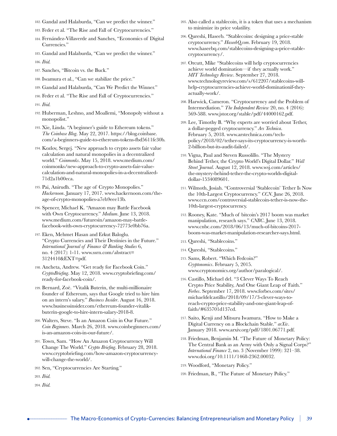- 182. Gandal and Halaburda, "Can we predict the winner."
- 183. Feder et al. "The Rise and Fall of Cryptocurrencies."
- 184. Fernández-Villaverde and Sanches, "Economics of Digital Currencies."
- 185. Gandal and Halaburda, "Can we predict the winner."
- 186. *Ibid.*
- 187. Sanches, "Bitcoin vs. the Buck."
- 188. Iwamura et al., "Can we stabilize the price."
- 189. Gandal and Halaburda, "Can We Predict the Winner."
- 190. Feder et al. "The Rise and Fall of Cryptocurrencies."

191. *Ibid.*

- 192. Huberman, Leshno, and Moallemi, "Monopoly without a monopolist."
- 193. Xie, Linda. "A beginner's guide to Ethereum tokens." *The Coinbase Blog*. May 22, 2017. https://blog.coinbase. com/a-beginners-guide-to-ethereum-tokens-fbd5611fe30b.
- 194. Kozlov, Sergej. "New approach to crypto assets fair value calculation and natural monopolies in a decentralized world." *Coinmonks*. May 15, 2018. www.medium.com/ coinmonks/new-approach-to-crypto-assets-fair-valuecalculation-and-natural-monopolies-in-a-decentralized-71d2a1b00eca.
- 195. Pai, Anirudh. "The age of Crypto Monopolies." *Hackernoon*. January 17, 2017. www.hackernoon.com/theage-of-crypto-monopolies-a7eb9eee13b.
- 196. Spencer, Michael K. "Amazon may Battle Facebook with Own Cryptocurrency." *Medium*. June 13, 2018. www.medium.com/futuresin/amazon-may-battlefacebook-with-own-cryptocurrency-72773e0bb76a.
- 197. Eken, Mehmet Hasan and Erkut Baloglu. "Crypto Currencies and Their Destinies in the Future." *International Journal of Finance & Banking Studies* 6, no. 4 (2017): 1-11. www.ssrn.com/abstract= 3124410&EXT=pdf.
- 198. Ancheta, Andrew. "Get ready for Facebook Coin." *CryptoBriefing*. May 12, 2018. www.cryptobriefing.com/ ready-for-facebook-coin/.
- 199. Bernard, Zoë. "Vitalik Buterin, the multi-millionaire founder of Ethereum, says that Google tried to hire him on an intern's salary." *Business Insider*. August 16, 2018. www.businessinsider.com/ethereum-founder-vitalikbuterin-google-to-hire-intern-salary-2018-8.
- 200. Walters, Steve. "Is an Amazon Coin in Our Future." *Coin Beginners*. March 26, 2018. www.coinbeginners.com/ is-an-amazon-coin-in-our-future/.
- 201. Town, Sam. "How An Amazon Cryptocurrency Will Change The World." *Crypto Briefing*. February 28, 2018. www.cryptobriefing.com/how-amazon-cryptocurrencywill-change-the-world/.
- 202. Sen, "Cryptocurrencies Are Starting."

203. *Ibid.*

204. *Ibid.*

- 205. Also called a stablecoin, it is a token that uses a mechanism to minimize its price volatility.
- 206. Qureshi, Haseeb. "Stablecoins: designing a price-stable cryptocurrency." *HaseebQ.com*. February 19, 2018. www.haseebq.com/stablecoins-designing-a-price-stablecryptocurrency/.
- 207. Orcutt, Mike "Stablecoins will help cryptocurrencies achieve world domination—if they actually work." *MIT Technology Review*. September 27, 2018. www.technologyreview.com/s/612207/stablecoins-willhelp-cryptocurrencies-achieve-world-dominationif-theyactually-work/.
- 208. Harwick, Cameron. "Cryptocurrency and the Problem of Intermediation." *The Independent Review* 20, no. 4 (2016): 569-588. www.jstor.org/stable/pdf/44000162.pdf.
- 209. Lee, Timothy B. "Why experts are worried about Tether, a dollar-pegged cryptocurrency." *Ars Technica*. February 5, 2018. www.arstechnica.com/techpolicy/2018/02/tether-says-its-cryptocurrency-is-worth-2-billion-but-its-audit-failed/.
- 210. Vigna, Paul and Steven Russolillo. "The Mystery Behind Tether, the Crypto World's Digital Dollar." *Wall Street Journal*. August 12, 2018. www.wsj.com/articles/ the-mystery-behind-tether-the-crypto-worlds-digitaldollar-1534089601.
- 211. Wilmoth, Josiah. "Controversial 'Stablecoin' Tether Is Now the 10th-Largest Cryptocurrency." *CCN*. June 26, 2018. www.ccn.com/controversial-stablecoin-tether-is-now-the-10th-largest-cryptocurrency.
- 212. Rooney, Kate. "Much of bitcoin's 2017 boom was market manipulation, research says." *CNBC*. June 13, 2018. www.cnbc.com/2018/06/13/much-of-bitcoins-2017 boom-was-market-manipulation-researcher-says.html.
- 213. Qureshi, "Stablecoins."
- 214. Qureshi, "Stablecoins."
- 215. Sams, Robert. "Which Fedcoin?" *Cryptonomics*. February 5, 2015. www.cryptonomics.org/author/paralogical/.
- 216. Castillo, Michael del. "3 Clever Ways To Reach Crypto Price Stability, And One Giant Leap of Faith." *Forbes*. September 17, 2018. www.forbes.com/sites/ michaeldelcastillo/2018/09/17/3-clever-ways-toreach-crypto-price-stability-and-one-giant-leap-offaith/#635701d137cd.
- 217. Saito, Kenji and Mitsuru Iwamura. "How to Make a Digital Currency on a Blockchain Stable." *arXiv*. January 2018. www.arxiv.org/pdf/1801.06771.pdf.
- 218. Friedman, Benjamin M. "The Future of Monetary Policy: The Central Bank as an Army with Only a Signal Corps?" *International Finance* 2, no. 3 (November 1999): 321–38. www.doi.org/10.1111/1468-2362.00032.
- 219. Woodford, "Monetary Policy."
- 220. Friedman, B., "The Future of Monetary Policy."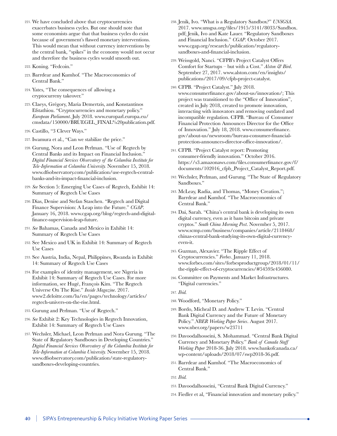- 221. We have concluded above that cryptocurrencies exacerbates business cycles. But one should note that some economists argue that that business cycles do exist because of government's flawed monetary interventions. This would mean that without currency interventions by the central bank, "spikes" in the economy would not occur and therefore the business cycles would smooth out.
- 222. Koning. "Fedcoin."
- 223. Barrdear and Kumhof. "The Macroeconomics of Central Bank."
- 224. Yates, "The consequences of allowing a cryptocurreny takeover."
- 225. Claeys, Grégory, Maria Demertzis, and Konstantinos Efstathiou. "Cryptocurrencies and monetary policy." *European Parliament*. July 2018. www.europarl.europa.eu/ cmsdata/150000/BRUEGEL\_FINAL%20publication.pdf.
- 226. Castillo, "3 Clever Ways."
- 227. Iwamura et al., "Can we stabilize the price."
- 228. Gurung, Nora and Leon Perlman. "Use of Regtech by Central Banks and its Impact on Financial Inclusion." *Digital Financial Services Observatory of the Columbia Institute for Tele-Information at Columbia University.* November 15, 2018. www.dfsobservatory.com/publication/use-regtech-centralbanks-and-its-impact-financial-inclusion.
- 229. *See* Section 5: Emerging Use Cases of Regtech, Exhibit 14: Summary of Regtech Use Cases
- 230. Dias, Denise and Stefan Staschen. "Regtech and Digital Finance Supervision: A Leap into the Future." *CGAP*. January 16, 2018. www.cgap.org/blog/regtech-and-digitalfinance-supervision-leap-future.
- 231. *See* Bahamas, Canada and Mexico in Exhibit 14: Summary of Regtech Use Cases
- 232. See Mexico and UK in Exhibit 14: Summary of Regtech Use Cases
- 233. See Austria, India, Nepal, Philippines, Rwanda in Exhibit 14: Summary of Regtech Use Cases
- 234. For examples of identity management, see Nigeria in Exhibit 14: Summary of Regtech Use Cases. For more information, see Hugé, François Kim. "The Regtech Universe On The Rise." *Inside Magazine*. 2017. www2.deloitte.com/lu/en/pages/technology/articles/ regtech-univers-on-the-rise.html.
- 235. Gurung and Perlman. "Use of Regtech."
- 236. *See* Exhibit 2: Key Technologies in Regtech Innovation, Exhibit 14: Summary of Regtech Use Cases
- 237. Wechsler, Michael, Leon Perlman and Nora Gurung. "The State of Regulatory Sandboxes in Developing Countries." *Digital Financial Services Observatory of the Columbia Institute for Tele-Information at Columbia University.* November 15, 2018. www.dfsobservatory.com/publication/state-regulatorysandboxes-developing-countries.
- 238. Jenik, Ivo. "What is a Regulatory Sandbox?" *UNSGSA*. 2017. www.unsgsa.org/files/1915/3141/8033/Sandbox. pdf; Jenik, Ivo and Kate Lauer. "Regulatory Sandboxes and Financial Inclusion." *CGAP*. October 2017. www.cgap.org/research/publication/regulatorysandboxes-and-financial-inclusion.
- 239. Weissgold, Nanci. "CFPB's Project Catalyst Offers Comfort for Startups – but with a Cost." *Alston & Bird*. September 27, 2017. www.alston.com/en/insights/ publications/2017/09/cfpb-project-catalyst.
- 240. CFPB. "Project Catalyst." July 2018. www.consumerfinance.gov/about-us/innovation/; This project was transitioned to the "Office of Innovation", created in July 2018, created to promote innovation, interacting with innovators and removing outdated and incompatible regulation. CFPB. "Bureau of Consumer Financial Protection Announces Director for the Office of Innovation." July 18, 2018. www.consumerfinance. gov/about-us/newsroom/bureau-consumer-financialprotection-announces-director-office-innovation/.
- 241. CFPB. "Project Catalyst report: Promoting consumer-friendly innovation." October 2016. https://s3.amazonaws.com/files.consumerfinance.gov/f/ documents/102016\_cfpb\_Project\_Catalyst\_Report.pdf.
- 242. Wechsler, Perlman, and Gurung. "The State of Regulatory Sandboxes."
- 243. McLeay, Radia, and Thomas, "Money Creation."; Barrdear and Kumhof. "The Macroeconomics of Central Bank."
- 244. Dai, Sarah. "China's central bank is developing its own digital currency, even as it bans bitcoin and private cryptos." *South China Morning Post*. November 5, 2017. www.scmp.com/business/companies/article/2118468/ chinas-central-bank-studying-its-own-digital-currencyeven-it.
- 245. Guzman, Alexavier. "The Ripple Effect of Cryptocurrencies." *Forbes*. January 11, 2018. www.forbes.com/sites/forbesproductgroup/2018/01/11/ the-ripple-effect-of-cryptocurrencies/#54593e456080.
- 246. Committee on Payments and Market Infrastructures. "Digital currencies."
- 247. *Ibid.*
- 248. Woodford, "Monetary Policy."
- 249. Bordo, Micheal D. and Andrew T. Levin. "Central Bank Digital Currency and the Future of Monetary Policy." *NBER Working Paper Series*. August 2017. www.nber.org/papers/w23711
- 250. Davoodalhosseini, S. Mohammad. "Central Bank Digital Currency and Monetary Policy." *Bank of Canada Staff Working Paper* 2018-36. July 2018. www.bankofcanada.ca/ wp-content/uploads/2018/07/swp2018-36.pdf.
- 251. Barrdear and Kumhof. "The Macroeconomics of Central Bank."
- 252. *Ibid.*
- 253. Davoodalhosseini, "Central Bank Digital Currency."
- 254. Fiedler et al, "Financial innovation and monetary policy."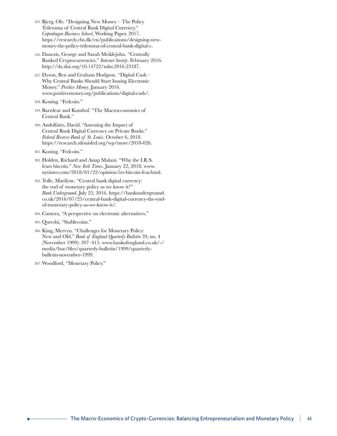- 255. Bjerg, Ole. "Designing New Money The Policy Trilemma of Central Bank Digital Currency." *Copenhagen Business School*, Working Paper. 2017. https://research.cbs.dk/en/publications/designing-newmoney-the-policy-trilemma-of-central-bank-digital-c.
- 256. Danezis, George and Sarah Meiklejohn. "Centrally Banked Cryptocurrencies." *Internet Society*. February 2016. http://dx.doi.org/10.14722/ndss.2016.23187.
- 257. Dyson, Ben and Graham Hodgson. "Digital Cash Why Central Banks Should Start Issuing Electronic Money." *Positive Money*. January 2016. www.positivemoney.org/publications/digital-cash/.
- 258. Koning. "Fedcoin."
- 259. Barrdear and Kumhof. "The Macroeconomics of Central Bank."
- 260. Andolfatto, David. "Assessing the Impact of Central Bank Digital Currency on Private Banks." *Federal Reserve Bank of St. Louis*. October 6, 2018. https://research.stlouisfed.org/wp/more/2018-026.
- 261. Koning. "Fedcoin."
- 262. Holden, Richard and Anup Malani. "Why the I.R.S. fears bitcoin." *New York Times*. January 22, 2018. www. nytimes.com/2018/01/22/opinion/irs-bitcoin-fear.html.
- 263. Tolle, Marilyne. "Central bank digital currency: the end of monetary policy as we know it?" *Bank Underground*. July 25, 2016. https://bankunderground. co.uk/2016/07/25/central-bank-digital-currency-the-endof-monetary-policy-as-we-know-it/.
- 264. Camera, "A perspective on electronic alternatives."
- 265. Qureshi, "Stablecoins."
- 266. King, Mervyn. "Challenges for Monetary Policy: New and Old." *Bank of England Quarterly Bulletin* 39, no. 4 (November 1999): 397–415. www.bankofengland.co.uk/-/ media/boe/files/quarterly-bulletin/1999/quarterlybulletin-november-1999.
- 267. Woodford, "Monetary Policy."